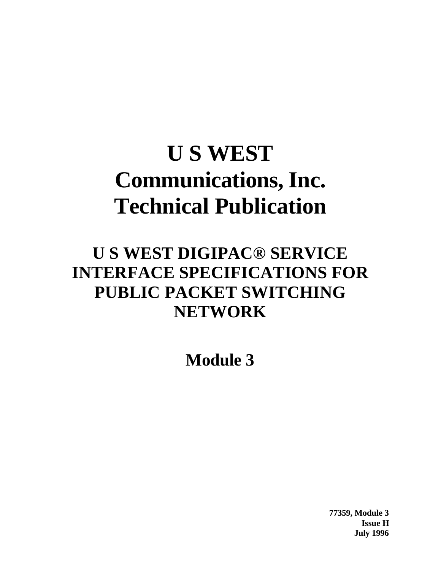# **U S WEST Communications, Inc. Technical Publication**

## **U S WEST DIGIPAC® SERVICE INTERFACE SPECIFICATIONS FOR PUBLIC PACKET SWITCHING NETWORK**

**Module 3**

**77359, Module 3 Issue H July 1996**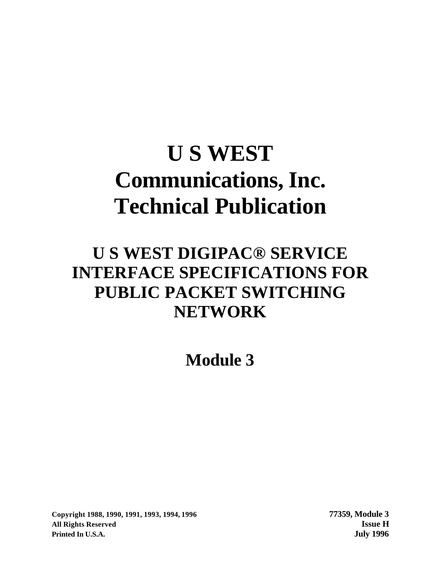# **U S WEST Communications, Inc. Technical Publication**

## **U S WEST DIGIPAC® SERVICE INTERFACE SPECIFICATIONS FOR PUBLIC PACKET SWITCHING NETWORK**

**Module 3**

**Copyright 1988, 1990, 1991, 1993, 1994, 1996 77359, Module 3 All Rights Reserved Issue H Printed In U.S.A. July 1996**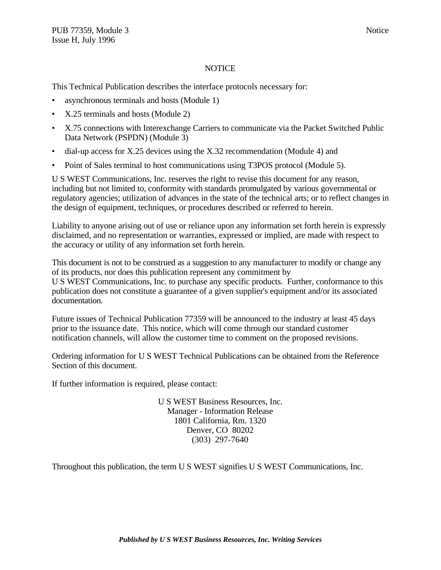#### **NOTICE**

This Technical Publication describes the interface protocols necessary for:

- asynchronous terminals and hosts (Module 1)
- X.25 terminals and hosts (Module 2)
- X.75 connections with Interexchange Carriers to communicate via the Packet Switched Public Data Network (PSPDN) (Module 3)
- dial-up access for X.25 devices using the X.32 recommendation (Module 4) and
- Point of Sales terminal to host communications using T3POS protocol (Module 5).

U S WEST Communications, Inc. reserves the right to revise this document for any reason, including but not limited to, conformity with standards promulgated by various governmental or regulatory agencies; utilization of advances in the state of the technical arts; or to reflect changes in the design of equipment, techniques, or procedures described or referred to herein.

Liability to anyone arising out of use or reliance upon any information set forth herein is expressly disclaimed, and no representation or warranties, expressed or implied, are made with respect to the accuracy or utility of any information set forth herein.

This document is not to be construed as a suggestion to any manufacturer to modify or change any of its products, nor does this publication represent any commitment by U S WEST Communications, Inc. to purchase any specific products. Further, conformance to this publication does not constitute a guarantee of a given supplier's equipment and/or its associated documentation.

Future issues of Technical Publication 77359 will be announced to the industry at least 45 days prior to the issuance date. This notice, which will come through our standard customer notification channels, will allow the customer time to comment on the proposed revisions.

Ordering information for U S WEST Technical Publications can be obtained from the Reference Section of this document.

If further information is required, please contact:

U S WEST Business Resources, Inc. Manager - Information Release 1801 California, Rm. 1320 Denver, CO 80202 (303) 297-7640

Throughout this publication, the term U S WEST signifies U S WEST Communications, Inc.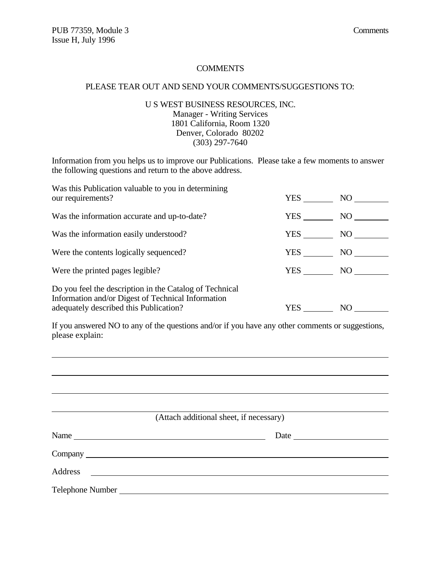#### **COMMENTS**

#### PLEASE TEAR OUT AND SEND YOUR COMMENTS/SUGGESTIONS TO:

#### U S WEST BUSINESS RESOURCES, INC. Manager - Writing Services 1801 California, Room 1320 Denver, Colorado 80202 (303) 297-7640

Information from you helps us to improve our Publications. Please take a few moments to answer the following questions and return to the above address.

| Was this Publication valuable to you in determining<br>our requirements?                                                                                | YES | NO  |
|---------------------------------------------------------------------------------------------------------------------------------------------------------|-----|-----|
| Was the information accurate and up-to-date?                                                                                                            | YES | NO  |
| Was the information easily understood?                                                                                                                  | YES | NO  |
| Were the contents logically sequenced?                                                                                                                  | YES | NO. |
| Were the printed pages legible?                                                                                                                         | YES | NO  |
| Do you feel the description in the Catalog of Technical<br>Information and/or Digest of Technical Information<br>adequately described this Publication? | YES | NO  |

If you answered NO to any of the questions and/or if you have any other comments or suggestions, please explain:

| (Attach additional sheet, if necessary)                                                                                          |  |
|----------------------------------------------------------------------------------------------------------------------------------|--|
| Name                                                                                                                             |  |
|                                                                                                                                  |  |
| Address<br><u> 1989 - Johann Stein, mars and de Branch and de Branch and de Branch and de Branch and de Branch and de Branch</u> |  |
|                                                                                                                                  |  |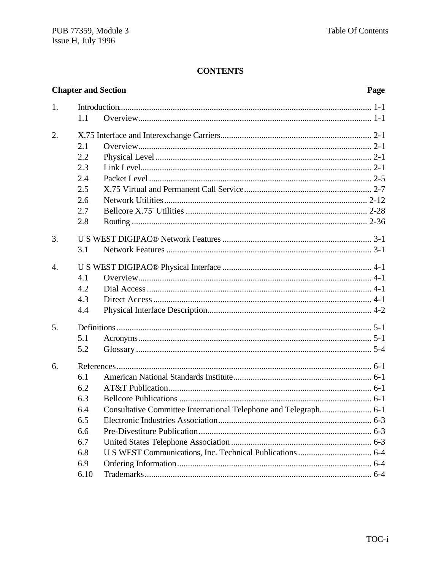#### **CONTENTS**

|                  | <b>Chapter and Section</b> |                                                                  | Page |
|------------------|----------------------------|------------------------------------------------------------------|------|
| 1.               |                            |                                                                  |      |
|                  | 1.1                        |                                                                  |      |
| 2.               |                            |                                                                  |      |
|                  | 2.1                        |                                                                  |      |
|                  | 2.2                        |                                                                  |      |
|                  | 2.3                        |                                                                  |      |
|                  | 2.4                        |                                                                  |      |
|                  | 2.5                        |                                                                  |      |
|                  | 2.6                        |                                                                  |      |
|                  | 2.7                        |                                                                  |      |
|                  | 2.8                        |                                                                  |      |
| 3.               |                            |                                                                  |      |
|                  | 3.1                        |                                                                  |      |
| $\overline{4}$ . |                            |                                                                  |      |
|                  | 4.1                        |                                                                  |      |
|                  | 4.2                        |                                                                  |      |
|                  | 4.3                        |                                                                  |      |
|                  | 4.4                        |                                                                  |      |
| 5.               |                            |                                                                  |      |
|                  | 5.1                        |                                                                  |      |
|                  | 5.2                        |                                                                  |      |
| 6.               |                            |                                                                  |      |
|                  | 6.1                        |                                                                  |      |
|                  | 6.2                        |                                                                  |      |
|                  | 6.3                        |                                                                  |      |
|                  | 6.4                        | Consultative Committee International Telephone and Telegraph 6-1 |      |
|                  | 6.5                        |                                                                  |      |
|                  | 6.6                        |                                                                  |      |
|                  | 6.7                        |                                                                  |      |
|                  | 6.8                        |                                                                  |      |
|                  | 6.9                        |                                                                  |      |
|                  | 6.10                       |                                                                  |      |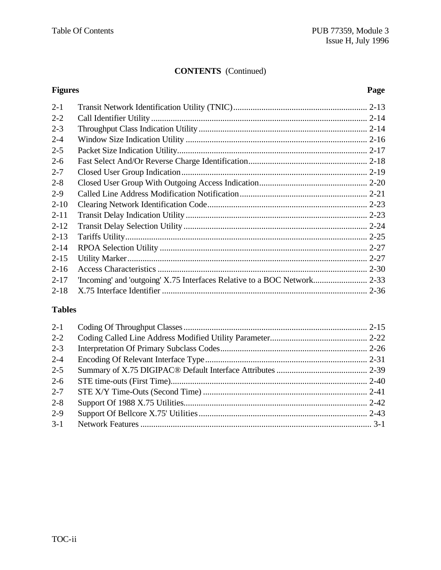#### **CONTENTS** (Continued)

#### **Figures Page** 2-1 Transit Network Identification Utility (TNIC).............................................................. 2-13 2-2 Call Identifier Utility .................................................................................................... 2-14 2-3 Throughput Class Indication Utility .............................................................................. 2-14 2-4 Window Size Indication Utility .................................................................................... 2-16 2-5 Packet Size Indication Utility........................................................................................ 2-17 2-6 Fast Select And/Or Reverse Charge Identification....................................................... 2-18 2-7 Closed User Group Indication...................................................................................... 2-19 2-8 Closed User Group With Outgoing Access Indication.................................................. 2-20 2-9 Called Line Address Modification Notification........................................................... 2-21 2-10 Clearing Network Identification Code.......................................................................... 2-23 2-11 Transit Delay Indication Utility .................................................................................... 2-23 2-12 Transit Delay Selection Utility ..................................................................................... 2-24 2-13 Tariffs Utility................................................................................................................ 2-25 2-14 RPOA Selection Utility ................................................................................................ 2-27 2-15 Utility Marker............................................................................................................... 2-27 2-16 Access Characteristics ................................................................................................. 2-30 2-17 'Incoming' and 'outgoing' X.75 Interfaces Relative to a BOC Network......................... 2-33 2-18 X.75 Interface Identifier ............................................................................................... 2-36

#### **Tables**

| $2 - 1$ |  |
|---------|--|
| $2 - 2$ |  |
| $2 - 3$ |  |
| $2 - 4$ |  |
| $2 - 5$ |  |
| $2 - 6$ |  |
| $2 - 7$ |  |
| $2 - 8$ |  |
| $2 - 9$ |  |
| $3 - 1$ |  |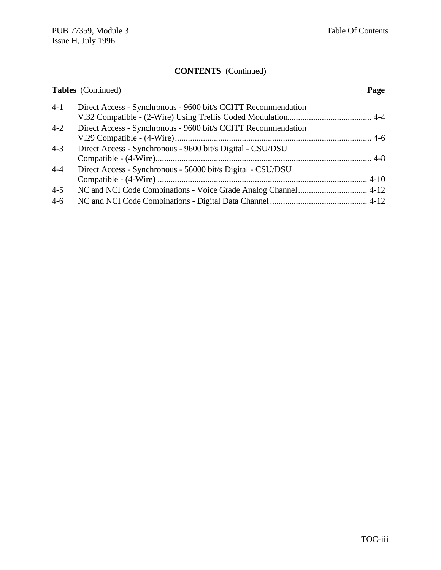## **CONTENTS** (Continued)

|         | <b>Tables</b> (Continued)                                     | Page |
|---------|---------------------------------------------------------------|------|
| $4-1$   | Direct Access - Synchronous - 9600 bit/s CCITT Recommendation |      |
| $4 - 2$ | Direct Access - Synchronous - 9600 bit/s CCITT Recommendation |      |
| $4 - 3$ | Direct Access - Synchronous - 9600 bit/s Digital - CSU/DSU    |      |
| $4 - 4$ | Direct Access - Synchronous - 56000 bit/s Digital - CSU/DSU   |      |
| $4 - 5$ |                                                               |      |
| $4 - 6$ |                                                               |      |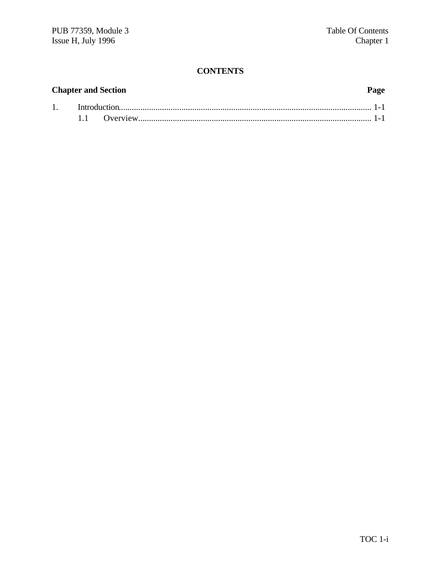#### **CONTENTS**

## **Chapter and Section Page** 1. Introduction..................................................................................................................... 1-1 1.1 Overview............................................................................................................ 1-1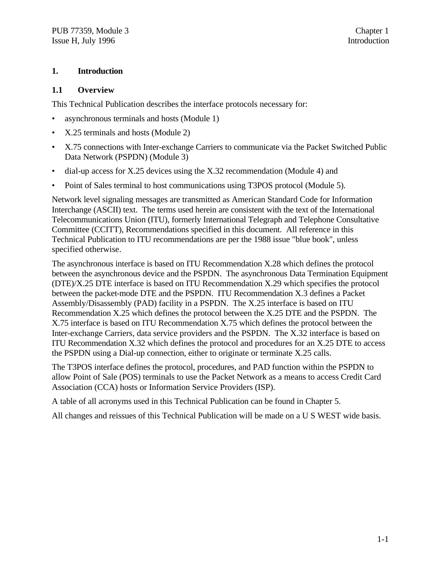#### **1. Introduction**

#### **1.1 Overview**

This Technical Publication describes the interface protocols necessary for:

- asynchronous terminals and hosts (Module 1)
- X.25 terminals and hosts (Module 2)
- X.75 connections with Inter-exchange Carriers to communicate via the Packet Switched Public Data Network (PSPDN) (Module 3)
- dial-up access for X.25 devices using the X.32 recommendation (Module 4) and
- Point of Sales terminal to host communications using T3POS protocol (Module 5).

Network level signaling messages are transmitted as American Standard Code for Information Interchange (ASCII) text. The terms used herein are consistent with the text of the International Telecommunications Union (ITU), formerly International Telegraph and Telephone Consultative Committee (CCITT), Recommendations specified in this document. All reference in this Technical Publication to ITU recommendations are per the 1988 issue "blue book", unless specified otherwise.

The asynchronous interface is based on ITU Recommendation X.28 which defines the protocol between the asynchronous device and the PSPDN. The asynchronous Data Termination Equipment (DTE)/X.25 DTE interface is based on ITU Recommendation X.29 which specifies the protocol between the packet-mode DTE and the PSPDN. ITU Recommendation X.3 defines a Packet Assembly/Disassembly (PAD) facility in a PSPDN. The X.25 interface is based on ITU Recommendation X.25 which defines the protocol between the X.25 DTE and the PSPDN. The X.75 interface is based on ITU Recommendation X.75 which defines the protocol between the Inter-exchange Carriers, data service providers and the PSPDN. The X.32 interface is based on ITU Recommendation X.32 which defines the protocol and procedures for an X.25 DTE to access the PSPDN using a Dial-up connection, either to originate or terminate X.25 calls.

The T3POS interface defines the protocol, procedures, and PAD function within the PSPDN to allow Point of Sale (POS) terminals to use the Packet Network as a means to access Credit Card Association (CCA) hosts or Information Service Providers (ISP).

A table of all acronyms used in this Technical Publication can be found in Chapter 5.

All changes and reissues of this Technical Publication will be made on a U S WEST wide basis.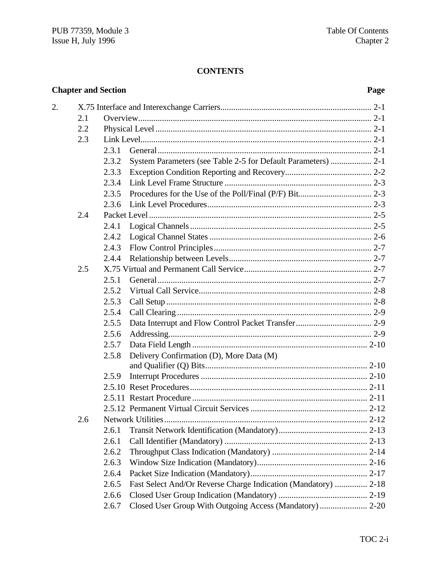#### **CONTENTS**

|    |     | <b>Chapter and Section</b> |                                                                | Page |
|----|-----|----------------------------|----------------------------------------------------------------|------|
| 2. |     |                            |                                                                |      |
|    | 2.1 |                            |                                                                |      |
|    | 2.2 |                            |                                                                |      |
|    | 2.3 |                            |                                                                |      |
|    |     | 2.3.1                      |                                                                |      |
|    |     | 2.3.2                      |                                                                |      |
|    |     | 2.3.3                      |                                                                |      |
|    |     | 2.3.4                      |                                                                |      |
|    |     | 2.3.5                      |                                                                |      |
|    |     | 2.3.6                      |                                                                |      |
|    | 2.4 |                            |                                                                |      |
|    |     | 2.4.1                      |                                                                |      |
|    |     | 2.4.2                      |                                                                |      |
|    |     | 2.4.3                      |                                                                |      |
|    |     | 2.4.4                      |                                                                |      |
|    | 2.5 |                            |                                                                |      |
|    |     | 2.5.1                      |                                                                |      |
|    |     | 2.5.2                      |                                                                |      |
|    |     | 2.5.3                      |                                                                |      |
|    |     | 2.5.4                      |                                                                |      |
|    |     | 2.5.5                      |                                                                |      |
|    |     | 2.5.6                      |                                                                |      |
|    |     | 2.5.7                      |                                                                |      |
|    |     | 2.5.8                      | Delivery Confirmation (D), More Data (M)                       |      |
|    |     |                            |                                                                |      |
|    |     | 2.5.9                      |                                                                |      |
|    |     |                            |                                                                |      |
|    |     |                            |                                                                |      |
|    |     |                            |                                                                |      |
|    | 2.6 |                            |                                                                |      |
|    |     | 2.6.1                      |                                                                |      |
|    |     | 2.6.1                      |                                                                |      |
|    |     | 2.6.2                      |                                                                |      |
|    |     | 2.6.3                      |                                                                |      |
|    |     | 2.6.4                      |                                                                |      |
|    |     | 2.6.5                      | Fast Select And/Or Reverse Charge Indication (Mandatory)  2-18 |      |
|    |     | 2.6.6                      |                                                                |      |
|    |     | 2.6.7                      | Closed User Group With Outgoing Access (Mandatory)  2-20       |      |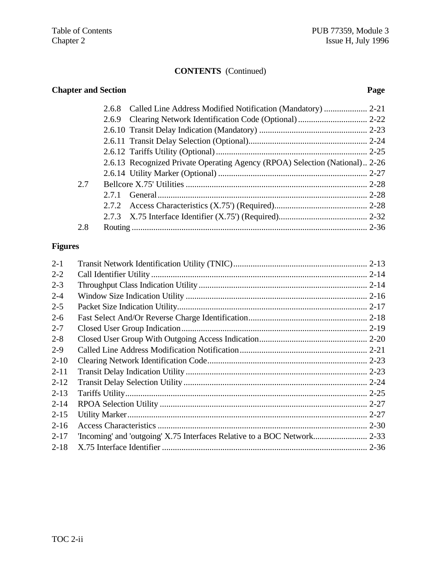#### **CONTENTS** (Continued)

## **Chapter and Section Page**

|     | 2.6.8 |                                                                             |  |
|-----|-------|-----------------------------------------------------------------------------|--|
|     |       |                                                                             |  |
|     |       |                                                                             |  |
|     |       |                                                                             |  |
|     |       |                                                                             |  |
|     |       | 2.6.13 Recognized Private Operating Agency (RPOA) Selection (National) 2-26 |  |
|     |       |                                                                             |  |
| 2.7 |       |                                                                             |  |
|     |       |                                                                             |  |
|     |       |                                                                             |  |
|     |       |                                                                             |  |
| 2.8 |       |                                                                             |  |
|     |       |                                                                             |  |

#### **Figures**

| $2 - 1$  |  |
|----------|--|
| $2 - 2$  |  |
| $2 - 3$  |  |
| $2 - 4$  |  |
| $2 - 5$  |  |
| $2-6$    |  |
| $2 - 7$  |  |
| $2 - 8$  |  |
| $2 - 9$  |  |
| $2 - 10$ |  |
| $2 - 11$ |  |
| $2 - 12$ |  |
| $2 - 13$ |  |
| $2 - 14$ |  |
| $2 - 15$ |  |
| $2 - 16$ |  |
| $2 - 17$ |  |
| $2 - 18$ |  |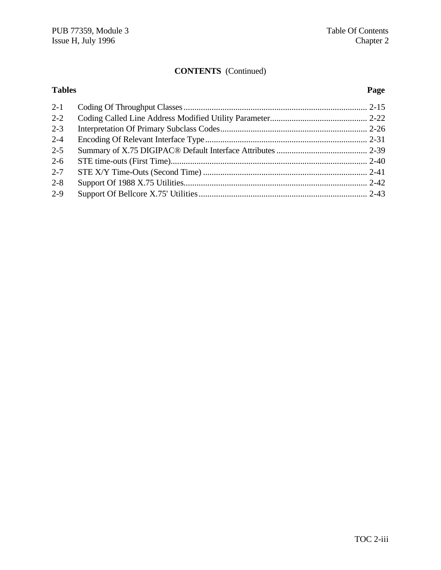#### **CONTENTS** (Continued)

### **Tables Page** 2-1 Coding Of Throughput Classes..................................................................................... 2-15 2-2 Coding Called Line Address Modified Utility Parameter............................................. 2-22 2-3 Interpretation Of Primary Subclass Codes.................................................................... 2-26 2-4 Encoding Of Relevant Interface Type........................................................................... 2-31 2-5 Summary of X.75 DIGIPAC® Default Interface Attributes.......................................... 2-39 2-6 STE time-outs (First Time)........................................................................................... 2-40 2-7 STE X/Y Time-Outs (Second Time) ............................................................................ 2-41 2-8 Support Of 1988 X.75 Utilities..................................................................................... 2-42

2-9 Support Of Bellcore X.75' Utilities.............................................................................. 2-43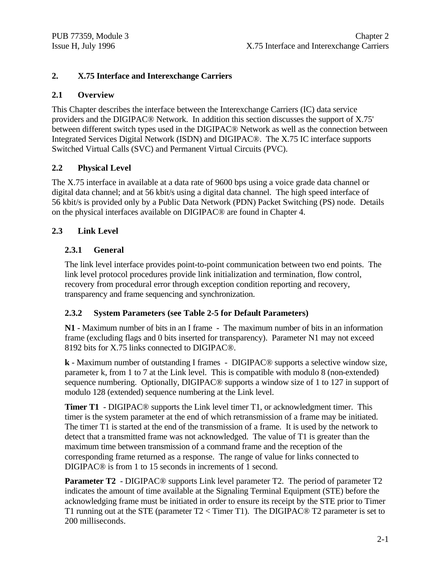#### **2. X.75 Interface and Interexchange Carriers**

#### **2.1 Overview**

This Chapter describes the interface between the Interexchange Carriers (IC) data service providers and the DIGIPAC® Network. In addition this section discusses the support of X.75' between different switch types used in the DIGIPAC® Network as well as the connection between Integrated Services Digital Network (ISDN) and DIGIPAC®. The X.75 IC interface supports Switched Virtual Calls (SVC) and Permanent Virtual Circuits (PVC).

#### **2.2 Physical Level**

The X.75 interface in available at a data rate of 9600 bps using a voice grade data channel or digital data channel; and at 56 kbit/s using a digital data channel. The high speed interface of 56 kbit/s is provided only by a Public Data Network (PDN) Packet Switching (PS) node. Details on the physical interfaces available on DIGIPAC® are found in Chapter 4.

#### **2.3 Link Level**

#### **2.3.1 General**

The link level interface provides point-to-point communication between two end points. The link level protocol procedures provide link initialization and termination, flow control, recovery from procedural error through exception condition reporting and recovery, transparency and frame sequencing and synchronization.

#### **2.3.2 System Parameters (see Table 2-5 for Default Parameters)**

**N1** - Maximum number of bits in an I frame - The maximum number of bits in an information frame (excluding flags and 0 bits inserted for transparency). Parameter N1 may not exceed 8192 bits for X.75 links connected to DIGIPAC®.

**k** - Maximum number of outstanding I frames - DIGIPAC® supports a selective window size, parameter k, from 1 to 7 at the Link level. This is compatible with modulo 8 (non-extended) sequence numbering. Optionally, DIGIPAC® supports a window size of 1 to 127 in support of modulo 128 (extended) sequence numbering at the Link level.

**Timer T1** - DIGIPAC<sup>®</sup> supports the Link level timer T1, or acknowledgment timer. This timer is the system parameter at the end of which retransmission of a frame may be initiated. The timer T1 is started at the end of the transmission of a frame. It is used by the network to detect that a transmitted frame was not acknowledged. The value of T1 is greater than the maximum time between transmission of a command frame and the reception of the corresponding frame returned as a response. The range of value for links connected to DIGIPAC® is from 1 to 15 seconds in increments of 1 second.

**Parameter T2** - DIGIPAC<sup>®</sup> supports Link level parameter T2. The period of parameter T2 indicates the amount of time available at the Signaling Terminal Equipment (STE) before the acknowledging frame must be initiated in order to ensure its receipt by the STE prior to Timer T1 running out at the STE (parameter T2 < Timer T1). The DIGIPAC® T2 parameter is set to 200 milliseconds.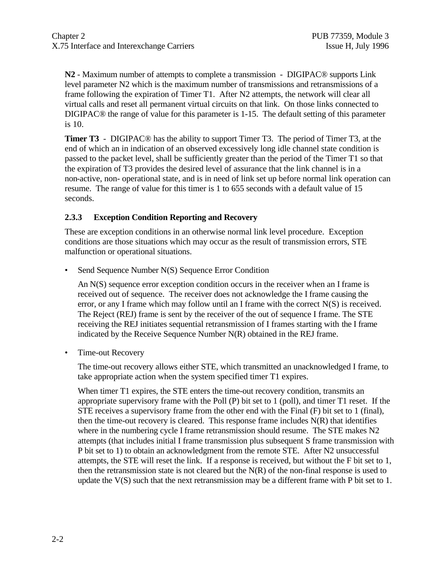**N2** - Maximum number of attempts to complete a transmission - DIGIPAC® supports Link level parameter N2 which is the maximum number of transmissions and retransmissions of a frame following the expiration of Timer T1. After N2 attempts, the network will clear all virtual calls and reset all permanent virtual circuits on that link. On those links connected to DIGIPAC® the range of value for this parameter is 1-15. The default setting of this parameter is 10.

**Timer T3** - DIGIPAC® has the ability to support Timer T3. The period of Timer T3, at the end of which an in indication of an observed excessively long idle channel state condition is passed to the packet level, shall be sufficiently greater than the period of the Timer T1 so that the expiration of T3 provides the desired level of assurance that the link channel is in a non-active, non- operational state, and is in need of link set up before normal link operation can resume. The range of value for this timer is 1 to 655 seconds with a default value of 15 seconds.

#### **2.3.3 Exception Condition Reporting and Recovery**

These are exception conditions in an otherwise normal link level procedure. Exception conditions are those situations which may occur as the result of transmission errors, STE malfunction or operational situations.

• Send Sequence Number N(S) Sequence Error Condition

An N(S) sequence error exception condition occurs in the receiver when an I frame is received out of sequence. The receiver does not acknowledge the I frame causing the error, or any I frame which may follow until an I frame with the correct N(S) is received. The Reject (REJ) frame is sent by the receiver of the out of sequence I frame. The STE receiving the REJ initiates sequential retransmission of I frames starting with the I frame indicated by the Receive Sequence Number N(R) obtained in the REJ frame.

• Time-out Recovery

The time-out recovery allows either STE, which transmitted an unacknowledged I frame, to take appropriate action when the system specified timer T1 expires.

When timer T1 expires, the STE enters the time-out recovery condition, transmits an appropriate supervisory frame with the Poll  $(P)$  bit set to 1 (poll), and timer T1 reset. If the STE receives a supervisory frame from the other end with the Final (F) bit set to 1 (final), then the time-out recovery is cleared. This response frame includes  $N(R)$  that identifies where in the numbering cycle I frame retransmission should resume. The STE makes N2 attempts (that includes initial I frame transmission plus subsequent S frame transmission with P bit set to 1) to obtain an acknowledgment from the remote STE. After N2 unsuccessful attempts, the STE will reset the link. If a response is received, but without the F bit set to 1, then the retransmission state is not cleared but the  $N(R)$  of the non-final response is used to update the  $V(S)$  such that the next retransmission may be a different frame with P bit set to 1.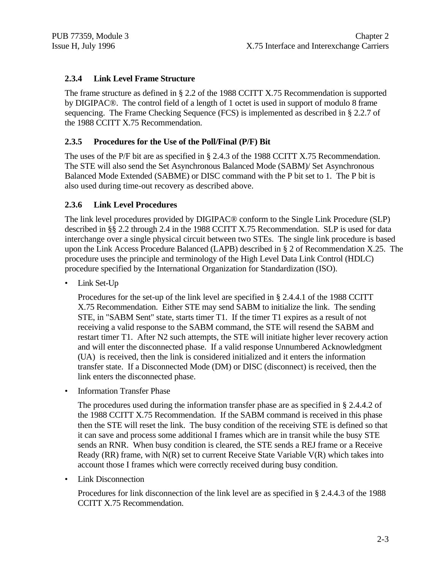#### **2.3.4 Link Level Frame Structure**

The frame structure as defined in § 2.2 of the 1988 CCITT X.75 Recommendation is supported by DIGIPAC®. The control field of a length of 1 octet is used in support of modulo 8 frame sequencing. The Frame Checking Sequence (FCS) is implemented as described in § 2.2.7 of the 1988 CCITT X.75 Recommendation.

#### **2.3.5 Procedures for the Use of the Poll/Final (P/F) Bit**

The uses of the P/F bit are as specified in § 2.4.3 of the 1988 CCITT X.75 Recommendation. The STE will also send the Set Asynchronous Balanced Mode (SABM)/ Set Asynchronous Balanced Mode Extended (SABME) or DISC command with the P bit set to 1. The P bit is also used during time-out recovery as described above.

#### **2.3.6 Link Level Procedures**

The link level procedures provided by DIGIPAC® conform to the Single Link Procedure (SLP) described in §§ 2.2 through 2.4 in the 1988 CCITT X.75 Recommendation. SLP is used for data interchange over a single physical circuit between two STEs. The single link procedure is based upon the Link Access Procedure Balanced (LAPB) described in § 2 of Recommendation X.25. The procedure uses the principle and terminology of the High Level Data Link Control (HDLC) procedure specified by the International Organization for Standardization (ISO).

Link Set-Up

Procedures for the set-up of the link level are specified in § 2.4.4.1 of the 1988 CCITT X.75 Recommendation. Either STE may send SABM to initialize the link. The sending STE, in "SABM Sent" state, starts timer T1. If the timer T1 expires as a result of not receiving a valid response to the SABM command, the STE will resend the SABM and restart timer T1. After N2 such attempts, the STE will initiate higher lever recovery action and will enter the disconnected phase. If a valid response Unnumbered Acknowledgment (UA) is received, then the link is considered initialized and it enters the information transfer state. If a Disconnected Mode (DM) or DISC (disconnect) is received, then the link enters the disconnected phase.

• Information Transfer Phase

The procedures used during the information transfer phase are as specified in § 2.4.4.2 of the 1988 CCITT X.75 Recommendation. If the SABM command is received in this phase then the STE will reset the link. The busy condition of the receiving STE is defined so that it can save and process some additional I frames which are in transit while the busy STE sends an RNR. When busy condition is cleared, the STE sends a REJ frame or a Receive Ready (RR) frame, with  $N(R)$  set to current Receive State Variable  $V(R)$  which takes into account those I frames which were correctly received during busy condition.

• Link Disconnection

Procedures for link disconnection of the link level are as specified in § 2.4.4.3 of the 1988 CCITT X.75 Recommendation.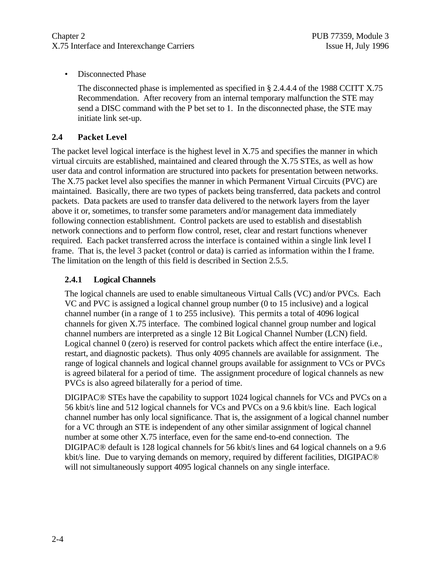• Disconnected Phase

The disconnected phase is implemented as specified in § 2.4.4.4 of the 1988 CCITT X.75 Recommendation. After recovery from an internal temporary malfunction the STE may send a DISC command with the P bet set to 1. In the disconnected phase, the STE may initiate link set-up.

#### **2.4 Packet Level**

The packet level logical interface is the highest level in X.75 and specifies the manner in which virtual circuits are established, maintained and cleared through the X.75 STEs, as well as how user data and control information are structured into packets for presentation between networks. The X.75 packet level also specifies the manner in which Permanent Virtual Circuits (PVC) are maintained. Basically, there are two types of packets being transferred, data packets and control packets. Data packets are used to transfer data delivered to the network layers from the layer above it or, sometimes, to transfer some parameters and/or management data immediately following connection establishment. Control packets are used to establish and disestablish network connections and to perform flow control, reset, clear and restart functions whenever required. Each packet transferred across the interface is contained within a single link level I frame. That is, the level 3 packet (control or data) is carried as information within the I frame. The limitation on the length of this field is described in Section 2.5.5.

#### **2.4.1 Logical Channels**

The logical channels are used to enable simultaneous Virtual Calls (VC) and/or PVCs. Each VC and PVC is assigned a logical channel group number (0 to 15 inclusive) and a logical channel number (in a range of 1 to 255 inclusive). This permits a total of 4096 logical channels for given X.75 interface. The combined logical channel group number and logical channel numbers are interpreted as a single 12 Bit Logical Channel Number (LCN) field. Logical channel 0 (zero) is reserved for control packets which affect the entire interface (i.e., restart, and diagnostic packets). Thus only 4095 channels are available for assignment. The range of logical channels and logical channel groups available for assignment to VCs or PVCs is agreed bilateral for a period of time. The assignment procedure of logical channels as new PVCs is also agreed bilaterally for a period of time.

DIGIPAC® STEs have the capability to support 1024 logical channels for VCs and PVCs on a 56 kbit/s line and 512 logical channels for VCs and PVCs on a 9.6 kbit/s line. Each logical channel number has only local significance. That is, the assignment of a logical channel number for a VC through an STE is independent of any other similar assignment of logical channel number at some other X.75 interface, even for the same end-to-end connection. The DIGIPAC® default is 128 logical channels for 56 kbit/s lines and 64 logical channels on a 9.6 kbit/s line. Due to varying demands on memory, required by different facilities, DIGIPAC® will not simultaneously support 4095 logical channels on any single interface.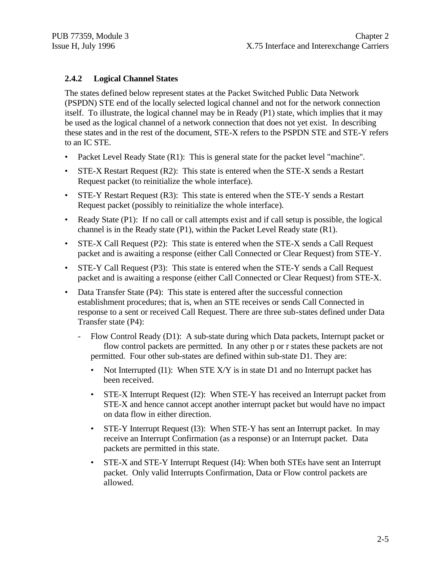#### **2.4.2 Logical Channel States**

The states defined below represent states at the Packet Switched Public Data Network (PSPDN) STE end of the locally selected logical channel and not for the network connection itself. To illustrate, the logical channel may be in Ready (P1) state, which implies that it may be used as the logical channel of a network connection that does not yet exist. In describing these states and in the rest of the document, STE-X refers to the PSPDN STE and STE-Y refers to an IC STE.

- Packet Level Ready State (R1): This is general state for the packet level "machine".
- STE-X Restart Request (R2): This state is entered when the STE-X sends a Restart Request packet (to reinitialize the whole interface).
- STE-Y Restart Request (R3): This state is entered when the STE-Y sends a Restart Request packet (possibly to reinitialize the whole interface).
- Ready State (P1): If no call or call attempts exist and if call setup is possible, the logical channel is in the Ready state (P1), within the Packet Level Ready state (R1).
- STE-X Call Request (P2): This state is entered when the STE-X sends a Call Request packet and is awaiting a response (either Call Connected or Clear Request) from STE-Y.
- STE-Y Call Request (P3): This state is entered when the STE-Y sends a Call Request packet and is awaiting a response (either Call Connected or Clear Request) from STE-X.
- Data Transfer State (P4): This state is entered after the successful connection establishment procedures; that is, when an STE receives or sends Call Connected in response to a sent or received Call Request. There are three sub-states defined under Data Transfer state (P4):
	- Flow Control Ready (D1): A sub-state during which Data packets, Interrupt packet or flow control packets are permitted. In any other p or r states these packets are not permitted. Four other sub-states are defined within sub-state D1. They are:
		- Not Interrupted (I1): When STE  $X/Y$  is in state D1 and no Interrupt packet has been received.
		- STE-X Interrupt Request (I2): When STE-Y has received an Interrupt packet from STE-X and hence cannot accept another interrupt packet but would have no impact on data flow in either direction.
		- STE-Y Interrupt Request (I3): When STE-Y has sent an Interrupt packet. In may receive an Interrupt Confirmation (as a response) or an Interrupt packet. Data packets are permitted in this state.
		- STE-X and STE-Y Interrupt Request (I4): When both STEs have sent an Interrupt packet. Only valid Interrupts Confirmation, Data or Flow control packets are allowed.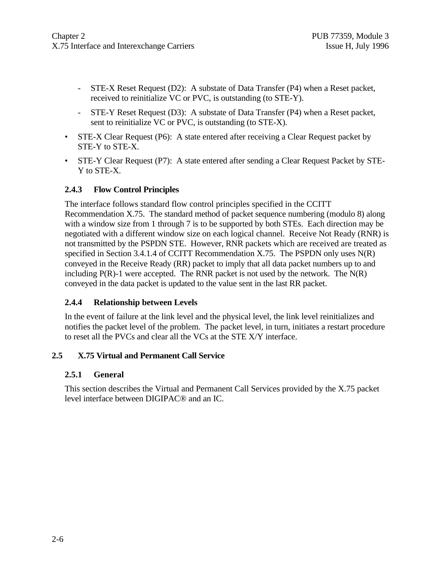- STE-X Reset Request (D2): A substate of Data Transfer (P4) when a Reset packet, received to reinitialize VC or PVC, is outstanding (to STE-Y).
- STE-Y Reset Request (D3): A substate of Data Transfer (P4) when a Reset packet, sent to reinitialize VC or PVC, is outstanding (to STE-X).
- STE-X Clear Request (P6): A state entered after receiving a Clear Request packet by STE-Y to STE-X.
- STE-Y Clear Request (P7): A state entered after sending a Clear Request Packet by STE-Y to STE-X.

#### **2.4.3 Flow Control Principles**

The interface follows standard flow control principles specified in the CCITT Recommendation X.75. The standard method of packet sequence numbering (modulo 8) along with a window size from 1 through 7 is to be supported by both STEs. Each direction may be negotiated with a different window size on each logical channel. Receive Not Ready (RNR) is not transmitted by the PSPDN STE. However, RNR packets which are received are treated as specified in Section 3.4.1.4 of CCITT Recommendation X.75. The PSPDN only uses N(R) conveyed in the Receive Ready (RR) packet to imply that all data packet numbers up to and including  $P(R)$ -1 were accepted. The RNR packet is not used by the network. The  $N(R)$ conveyed in the data packet is updated to the value sent in the last RR packet.

#### **2.4.4 Relationship between Levels**

In the event of failure at the link level and the physical level, the link level reinitializes and notifies the packet level of the problem. The packet level, in turn, initiates a restart procedure to reset all the PVCs and clear all the VCs at the STE X/Y interface.

#### **2.5 X.75 Virtual and Permanent Call Service**

#### **2.5.1 General**

This section describes the Virtual and Permanent Call Services provided by the X.75 packet level interface between DIGIPAC® and an IC.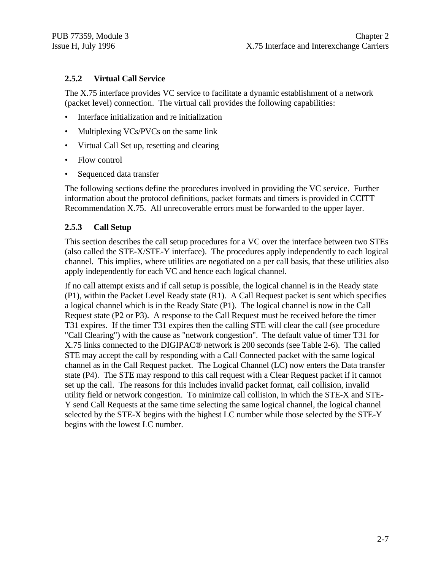#### **2.5.2 Virtual Call Service**

The X.75 interface provides VC service to facilitate a dynamic establishment of a network (packet level) connection. The virtual call provides the following capabilities:

- Interface initialization and re initialization
- Multiplexing VCs/PVCs on the same link
- Virtual Call Set up, resetting and clearing
- Flow control
- Sequenced data transfer

The following sections define the procedures involved in providing the VC service. Further information about the protocol definitions, packet formats and timers is provided in CCITT Recommendation X.75. All unrecoverable errors must be forwarded to the upper layer.

#### **2.5.3 Call Setup**

This section describes the call setup procedures for a VC over the interface between two STEs (also called the STE-X/STE-Y interface). The procedures apply independently to each logical channel. This implies, where utilities are negotiated on a per call basis, that these utilities also apply independently for each VC and hence each logical channel.

If no call attempt exists and if call setup is possible, the logical channel is in the Ready state (P1), within the Packet Level Ready state (R1). A Call Request packet is sent which specifies a logical channel which is in the Ready State (P1). The logical channel is now in the Call Request state (P2 or P3). A response to the Call Request must be received before the timer T31 expires. If the timer T31 expires then the calling STE will clear the call (see procedure "Call Clearing") with the cause as "network congestion". The default value of timer T31 for X.75 links connected to the DIGIPAC® network is 200 seconds (see Table 2-6). The called STE may accept the call by responding with a Call Connected packet with the same logical channel as in the Call Request packet. The Logical Channel (LC) now enters the Data transfer state (P4). The STE may respond to this call request with a Clear Request packet if it cannot set up the call. The reasons for this includes invalid packet format, call collision, invalid utility field or network congestion. To minimize call collision, in which the STE-X and STE-Y send Call Requests at the same time selecting the same logical channel, the logical channel selected by the STE-X begins with the highest LC number while those selected by the STE-Y begins with the lowest LC number.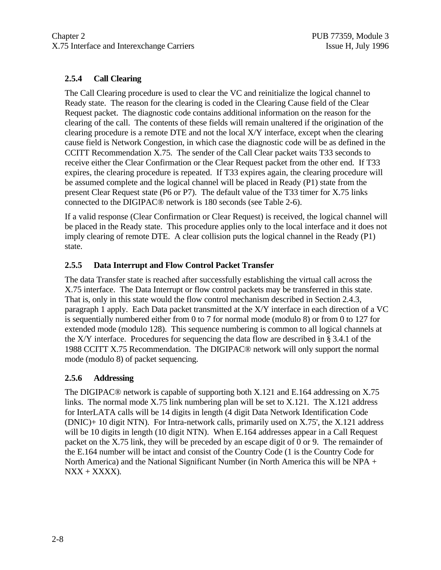#### **2.5.4 Call Clearing**

The Call Clearing procedure is used to clear the VC and reinitialize the logical channel to Ready state. The reason for the clearing is coded in the Clearing Cause field of the Clear Request packet. The diagnostic code contains additional information on the reason for the clearing of the call. The contents of these fields will remain unaltered if the origination of the clearing procedure is a remote DTE and not the local X/Y interface, except when the clearing cause field is Network Congestion, in which case the diagnostic code will be as defined in the CCITT Recommendation X.75. The sender of the Call Clear packet waits T33 seconds to receive either the Clear Confirmation or the Clear Request packet from the other end. If T33 expires, the clearing procedure is repeated. If T33 expires again, the clearing procedure will be assumed complete and the logical channel will be placed in Ready (P1) state from the present Clear Request state (P6 or P7). The default value of the T33 timer for X.75 links connected to the DIGIPAC® network is 180 seconds (see Table 2-6).

If a valid response (Clear Confirmation or Clear Request) is received, the logical channel will be placed in the Ready state. This procedure applies only to the local interface and it does not imply clearing of remote DTE. A clear collision puts the logical channel in the Ready (P1) state.

#### **2.5.5 Data Interrupt and Flow Control Packet Transfer**

The data Transfer state is reached after successfully establishing the virtual call across the X.75 interface. The Data Interrupt or flow control packets may be transferred in this state. That is, only in this state would the flow control mechanism described in Section 2.4.3, paragraph 1 apply. Each Data packet transmitted at the X/Y interface in each direction of a VC is sequentially numbered either from 0 to 7 for normal mode (modulo 8) or from 0 to 127 for extended mode (modulo 128). This sequence numbering is common to all logical channels at the X/Y interface. Procedures for sequencing the data flow are described in § 3.4.1 of the 1988 CCITT X.75 Recommendation. The DIGIPAC® network will only support the normal mode (modulo 8) of packet sequencing.

#### **2.5.6 Addressing**

The DIGIPAC® network is capable of supporting both X.121 and E.164 addressing on X.75 links. The normal mode X.75 link numbering plan will be set to X.121. The X.121 address for InterLATA calls will be 14 digits in length (4 digit Data Network Identification Code (DNIC)+ 10 digit NTN). For Intra-network calls, primarily used on X.75', the X.121 address will be 10 digits in length (10 digit NTN). When E.164 addresses appear in a Call Request packet on the X.75 link, they will be preceded by an escape digit of 0 or 9. The remainder of the E.164 number will be intact and consist of the Country Code (1 is the Country Code for North America) and the National Significant Number (in North America this will be  $NPA +$  $NXX + XXXX$ ).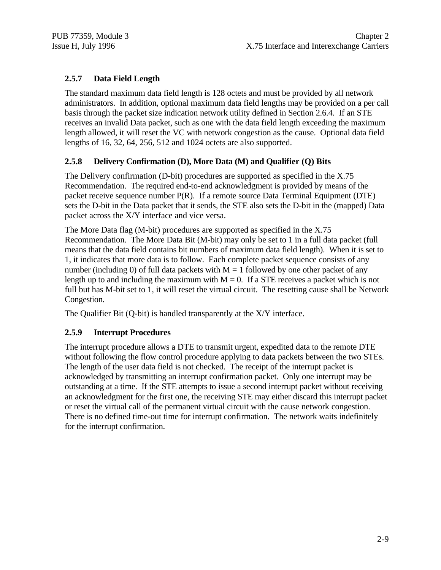#### **2.5.7 Data Field Length**

The standard maximum data field length is 128 octets and must be provided by all network administrators. In addition, optional maximum data field lengths may be provided on a per call basis through the packet size indication network utility defined in Section 2.6.4. If an STE receives an invalid Data packet, such as one with the data field length exceeding the maximum length allowed, it will reset the VC with network congestion as the cause. Optional data field lengths of 16, 32, 64, 256, 512 and 1024 octets are also supported.

#### **2.5.8 Delivery Confirmation (D), More Data (M) and Qualifier (Q) Bits**

The Delivery confirmation (D-bit) procedures are supported as specified in the X.75 Recommendation. The required end-to-end acknowledgment is provided by means of the packet receive sequence number P(R). If a remote source Data Terminal Equipment (DTE) sets the D-bit in the Data packet that it sends, the STE also sets the D-bit in the (mapped) Data packet across the X/Y interface and vice versa.

The More Data flag (M-bit) procedures are supported as specified in the X.75 Recommendation. The More Data Bit (M-bit) may only be set to 1 in a full data packet (full means that the data field contains bit numbers of maximum data field length). When it is set to 1, it indicates that more data is to follow. Each complete packet sequence consists of any number (including 0) of full data packets with  $M = 1$  followed by one other packet of any length up to and including the maximum with  $M = 0$ . If a STE receives a packet which is not full but has M-bit set to 1, it will reset the virtual circuit. The resetting cause shall be Network Congestion.

The Qualifier Bit (Q-bit) is handled transparently at the X/Y interface.

#### **2.5.9 Interrupt Procedures**

The interrupt procedure allows a DTE to transmit urgent, expedited data to the remote DTE without following the flow control procedure applying to data packets between the two STEs. The length of the user data field is not checked. The receipt of the interrupt packet is acknowledged by transmitting an interrupt confirmation packet. Only one interrupt may be outstanding at a time. If the STE attempts to issue a second interrupt packet without receiving an acknowledgment for the first one, the receiving STE may either discard this interrupt packet or reset the virtual call of the permanent virtual circuit with the cause network congestion. There is no defined time-out time for interrupt confirmation. The network waits indefinitely for the interrupt confirmation.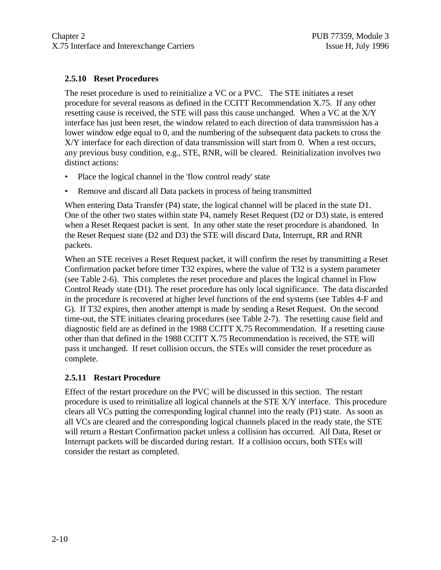#### **2.5.10 Reset Procedures**

The reset procedure is used to reinitialize a VC or a PVC. The STE initiates a reset procedure for several reasons as defined in the CCITT Recommendation X.75. If any other resetting cause is received, the STE will pass this cause unchanged. When a VC at the X/Y interface has just been reset, the window related to each direction of data transmission has a lower window edge equal to 0, and the numbering of the subsequent data packets to cross the X/Y interface for each direction of data transmission will start from 0. When a rest occurs, any previous busy condition, e.g., STE, RNR, will be cleared. Reinitialization involves two distinct actions:

- Place the logical channel in the 'flow control ready' state
- Remove and discard all Data packets in process of being transmitted

When entering Data Transfer (P4) state, the logical channel will be placed in the state D1. One of the other two states within state P4, namely Reset Request (D2 or D3) state, is entered when a Reset Request packet is sent. In any other state the reset procedure is abandoned. In the Reset Request state (D2 and D3) the STE will discard Data, Interrupt, RR and RNR packets.

When an STE receives a Reset Request packet, it will confirm the reset by transmitting a Reset Confirmation packet before timer T32 expires, where the value of T32 is a system parameter (see Table 2-6). This completes the reset procedure and places the logical channel in Flow Control Ready state (D1). The reset procedure has only local significance. The data discarded in the procedure is recovered at higher level functions of the end systems (see Tables 4-F and G). If T32 expires, then another attempt is made by sending a Reset Request. On the second time-out, the STE initiates clearing procedures (see Table 2-7). The resetting cause field and diagnostic field are as defined in the 1988 CCITT X.75 Recommendation. If a resetting cause other than that defined in the 1988 CCITT X.75 Recommendation is received, the STE will pass it unchanged. If reset collision occurs, the STEs will consider the reset procedure as complete.

#### **2.5.11 Restart Procedure**

Effect of the restart procedure on the PVC will be discussed in this section. The restart procedure is used to reinitialize all logical channels at the STE X/Y interface. This procedure clears all VCs putting the corresponding logical channel into the ready (P1) state. As soon as all VCs are cleared and the corresponding logical channels placed in the ready state, the STE will return a Restart Confirmation packet unless a collision has occurred. All Data, Reset or Interrupt packets will be discarded during restart. If a collision occurs, both STEs will consider the restart as completed.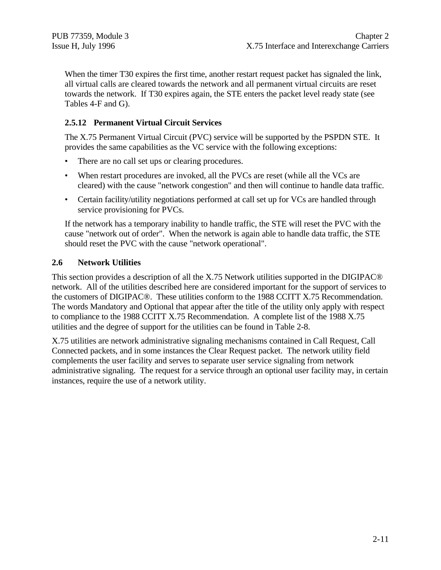When the timer T30 expires the first time, another restart request packet has signaled the link, all virtual calls are cleared towards the network and all permanent virtual circuits are reset towards the network. If T30 expires again, the STE enters the packet level ready state (see Tables 4-F and G).

#### **2.5.12 Permanent Virtual Circuit Services**

The X.75 Permanent Virtual Circuit (PVC) service will be supported by the PSPDN STE. It provides the same capabilities as the VC service with the following exceptions:

- There are no call set ups or clearing procedures.
- When restart procedures are invoked, all the PVCs are reset (while all the VCs are cleared) with the cause "network congestion" and then will continue to handle data traffic.
- Certain facility/utility negotiations performed at call set up for VCs are handled through service provisioning for PVCs.

If the network has a temporary inability to handle traffic, the STE will reset the PVC with the cause "network out of order". When the network is again able to handle data traffic, the STE should reset the PVC with the cause "network operational".

#### **2.6 Network Utilities**

This section provides a description of all the X.75 Network utilities supported in the DIGIPAC® network. All of the utilities described here are considered important for the support of services to the customers of DIGIPAC®. These utilities conform to the 1988 CCITT X.75 Recommendation. The words Mandatory and Optional that appear after the title of the utility only apply with respect to compliance to the 1988 CCITT X.75 Recommendation. A complete list of the 1988 X.75 utilities and the degree of support for the utilities can be found in Table 2-8.

X.75 utilities are network administrative signaling mechanisms contained in Call Request, Call Connected packets, and in some instances the Clear Request packet. The network utility field complements the user facility and serves to separate user service signaling from network administrative signaling. The request for a service through an optional user facility may, in certain instances, require the use of a network utility.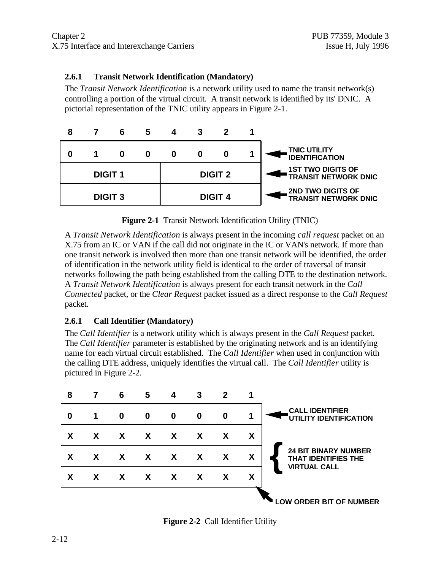#### **2.6.1 Transit Network Identification (Mandatory)**

The *Transit Network Identification* is a network utility used to name the transit network(s) controlling a portion of the virtual circuit. A transit network is identified by its' DNIC. A pictorial representation of the TNIC utility appears in Figure 2-1.



**Figure 2-1** Transit Network Identification Utility (TNIC)

A *Transit Network Identification* is always present in the incoming *call request* packet on an X.75 from an IC or VAN if the call did not originate in the IC or VAN's network. If more than one transit network is involved then more than one transit network will be identified, the order of identification in the network utility field is identical to the order of traversal of transit networks following the path being established from the calling DTE to the destination network. A *Transit Network Identification* is always present for each transit network in the *Call Connected* packet, or the *Clear Request* packet issued as a direct response to the *Call Request* packet.

#### **2.6.1 Call Identifier (Mandatory)**

The *Call Identifier* is a network utility which is always present in the *Call Request* packet. The *Call Identifier* parameter is established by the originating network and is an identifying name for each virtual circuit established. The *Call Identifier* when used in conjunction with the calling DTE address, uniquely identifies the virtual call. The *Call Identifier* utility is pictured in Figure 2-2.



**Figure 2-2** Call Identifier Utility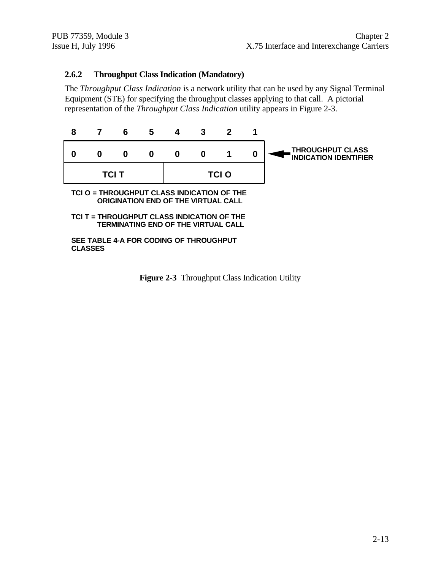#### **2.6.2 Throughput Class Indication (Mandatory)**

The *Throughput Class Indication* is a network utility that can be used by any Signal Terminal Equipment (STE) for specifying the throughput classes applying to that call. A pictorial representation of the *Throughput Class Indication* utility appears in Figure 2-3.



**Figure 2-3** Throughput Class Indication Utility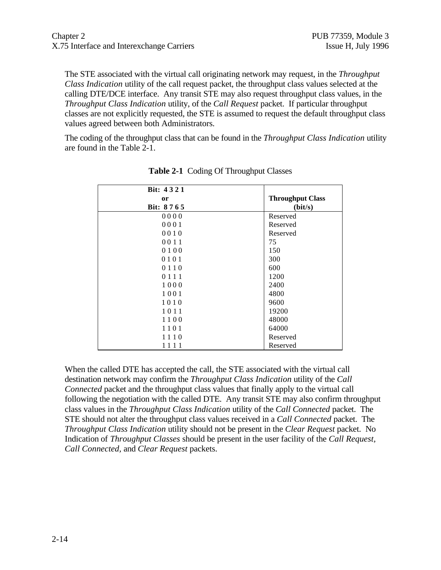The STE associated with the virtual call originating network may request, in the *Throughput Class Indication* utility of the call request packet, the throughput class values selected at the calling DTE/DCE interface. Any transit STE may also request throughput class values, in the *Throughput Class Indication* utility, of the *Call Request* packet. If particular throughput classes are not explicitly requested, the STE is assumed to request the default throughput class values agreed between both Administrators.

The coding of the throughput class that can be found in the *Throughput Class Indication* utility are found in the Table 2-1.

| Bit: 4321 |                         |
|-----------|-------------------------|
| or        | <b>Throughput Class</b> |
| Bit: 8765 | (bit/s)                 |
| 0000      | Reserved                |
| 0001      | Reserved                |
| 0010      | Reserved                |
| 0011      | 75                      |
| 0100      | 150                     |
| 0101      | 300                     |
| 0110      | 600                     |
| 0 1 1 1   | 1200                    |
| 1000      | 2400                    |
| 1001      | 4800                    |
| 1010      | 9600                    |
| 1011      | 19200                   |
| 1100      | 48000                   |
| 1101      | 64000                   |
| 1110      | Reserved                |
| 1111      | Reserved                |

**Table 2-1** Coding Of Throughput Classes

When the called DTE has accepted the call, the STE associated with the virtual call destination network may confirm the *Throughput Class Indication* utility of the *Call Connected* packet and the throughput class values that finally apply to the virtual call following the negotiation with the called DTE. Any transit STE may also confirm throughput class values in the *Throughput Class Indication* utility of the *Call Connected* packet. The STE should not alter the throughput class values received in a *Call Connected* packet. The *Throughput Class Indication* utility should not be present in the *Clear Request* packet. No Indication of *Throughput Classes* should be present in the user facility of the *Call Request, Call Connected,* and *Clear Request* packets.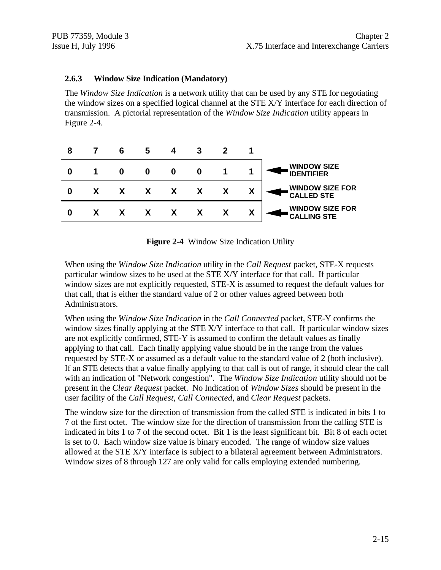#### **2.6.3 Window Size Indication (Mandatory)**

The *Window Size Indication* is a network utility that can be used by any STE for negotiating the window sizes on a specified logical channel at the STE X/Y interface for each direction of transmission. A pictorial representation of the *Window Size Indication* utility appears in Figure 2-4.

| 8 | 6 | G |                  |   |   |                                              |
|---|---|---|------------------|---|---|----------------------------------------------|
| O | 0 |   | 0                | O |   | <b>WINDOW SIZE</b><br><b>IDENTIFIER</b>      |
| 0 |   |   | $\boldsymbol{X}$ |   | χ | <b>WINDOW SIZE FOR</b><br><b>CALLED STE</b>  |
| O |   |   |                  |   |   | <b>WINDOW SIZE FOR</b><br><b>CALLING STE</b> |

**Figure 2-4** Window Size Indication Utility

When using the *Window Size Indication* utility in the *Call Request* packet, STE-X requests particular window sizes to be used at the STE X/Y interface for that call. If particular window sizes are not explicitly requested, STE-X is assumed to request the default values for that call, that is either the standard value of 2 or other values agreed between both Administrators.

When using the *Window Size Indication* in the *Call Connected* packet, STE-Y confirms the window sizes finally applying at the STE X/Y interface to that call. If particular window sizes are not explicitly confirmed, STE-Y is assumed to confirm the default values as finally applying to that call. Each finally applying value should be in the range from the values requested by STE-X or assumed as a default value to the standard value of 2 (both inclusive). If an STE detects that a value finally applying to that call is out of range, it should clear the call with an indication of "Network congestion". The *Window Size Indication* utility should not be present in the *Clear Request* packet. No Indication of *Window Sizes* should be present in the user facility of the *Call Request, Call Connected,* and *Clear Request* packets.

The window size for the direction of transmission from the called STE is indicated in bits 1 to 7 of the first octet. The window size for the direction of transmission from the calling STE is indicated in bits 1 to 7 of the second octet. Bit 1 is the least significant bit. Bit 8 of each octet is set to 0. Each window size value is binary encoded. The range of window size values allowed at the STE X/Y interface is subject to a bilateral agreement between Administrators. Window sizes of 8 through 127 are only valid for calls employing extended numbering.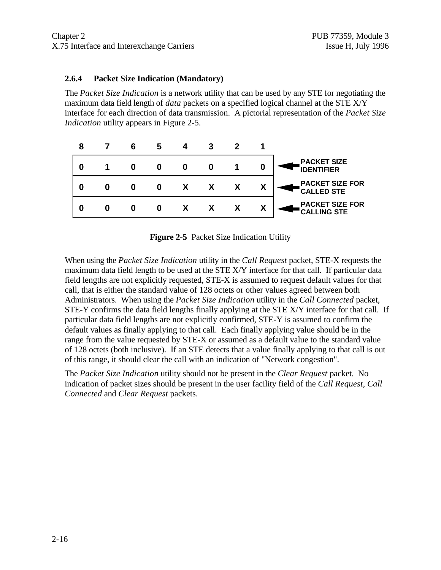#### **2.6.4 Packet Size Indication (Mandatory)**

The *Packet Size Indication* is a network utility that can be used by any STE for negotiating the maximum data field length of *data* packets on a specified logical channel at the STE X/Y interface for each direction of data transmission. A pictorial representation of the *Packet Size Indication* utility appears in Figure 2-5.



**Figure 2-5** Packet Size Indication Utility

When using the *Packet Size Indication* utility in the *Call Request* packet, STE-X requests the maximum data field length to be used at the STE X/Y interface for that call. If particular data field lengths are not explicitly requested, STE-X is assumed to request default values for that call, that is either the standard value of 128 octets or other values agreed between both Administrators. When using the *Packet Size Indication* utility in the *Call Connected* packet, STE-Y confirms the data field lengths finally applying at the STE X/Y interface for that call. If particular data field lengths are not explicitly confirmed, STE-Y is assumed to confirm the default values as finally applying to that call. Each finally applying value should be in the range from the value requested by STE-X or assumed as a default value to the standard value of 128 octets (both inclusive). If an STE detects that a value finally applying to that call is out of this range, it should clear the call with an indication of "Network congestion".

The *Packet Size Indication* utility should not be present in the *Clear Request* packet. No indication of packet sizes should be present in the user facility field of the *Call Request, Call Connected* and *Clear Request* packets.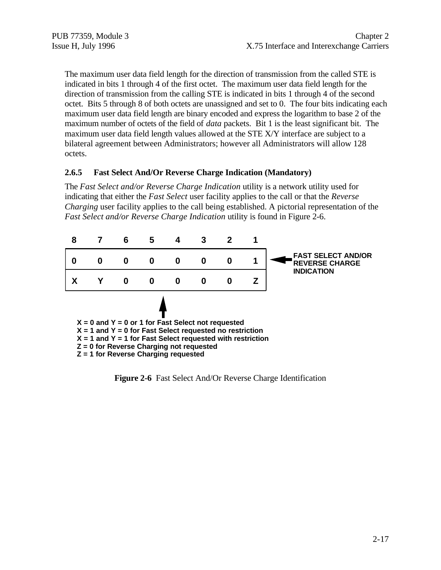The maximum user data field length for the direction of transmission from the called STE is indicated in bits 1 through 4 of the first octet. The maximum user data field length for the direction of transmission from the calling STE is indicated in bits 1 through 4 of the second octet. Bits 5 through 8 of both octets are unassigned and set to 0. The four bits indicating each maximum user data field length are binary encoded and express the logarithm to base 2 of the maximum number of octets of the field of *data* packets. Bit 1 is the least significant bit. The maximum user data field length values allowed at the STE X/Y interface are subject to a bilateral agreement between Administrators; however all Administrators will allow 128 octets.

#### **2.6.5 Fast Select And/Or Reverse Charge Indication (Mandatory)**

The *Fast Select and/or Reverse Charge Indication* utility is a network utility used for indicating that either the *Fast Select* user facility applies to the call or that the *Reverse Charging* user facility applies to the call being established. A pictorial representation of the *Fast Select and/or Reverse Charge Indication* utility is found in Figure 2-6.



**Figure 2-6** Fast Select And/Or Reverse Charge Identification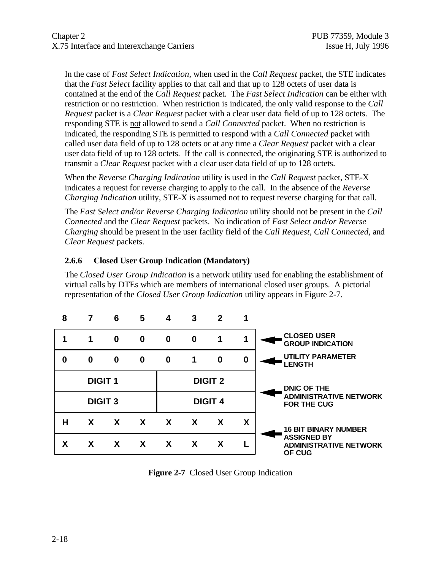In the case of *Fast Select Indication*, when used in the *Call Request* packet, the STE indicates that the *Fast Select* facility applies to that call and that up to 128 octets of user data is contained at the end of the *Call Request* packet. The *Fast Select Indication* can be either with restriction or no restriction. When restriction is indicated, the only valid response to the *Call Request* packet is a *Clear Request* packet with a clear user data field of up to 128 octets. The responding STE is not allowed to send a *Call Connected* packet. When no restriction is indicated, the responding STE is permitted to respond with a *Call Connected* packet with called user data field of up to 128 octets or at any time a *Clear Request* packet with a clear user data field of up to 128 octets. If the call is connected, the originating STE is authorized to transmit a *Clear Request* packet with a clear user data field of up to 128 octets.

When the *Reverse Charging Indication* utility is used in the *Call Request* packet, STE-X indicates a request for reverse charging to apply to the call. In the absence of the *Reverse Charging Indication* utility, STE-X is assumed not to request reverse charging for that call.

The *Fast Select and/or Reverse Charging Indication* utility should not be present in the *Call Connected* and the *Clear Request* packets. No indication of *Fast Select and/or Reverse Charging* should be present in the user facility field of the *Call Request, Call Connected,* and *Clear Request* packets.

#### **2.6.6 Closed User Group Indication (Mandatory)**

The *Closed User Group Indication* is a network utility used for enabling the establishment of virtual calls by DTEs which are members of international closed user groups. A pictorial representation of the *Closed User Group Indication* utility appears in Figure 2-7.



**Figure 2-7** Closed User Group Indication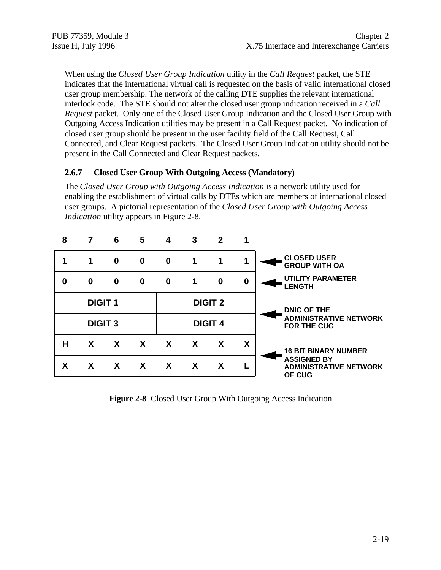When using the *Closed User Group Indication* utility in the *Call Request* packet, the STE indicates that the international virtual call is requested on the basis of valid international closed user group membership. The network of the calling DTE supplies the relevant international interlock code. The STE should not alter the closed user group indication received in a *Call Request* packet. Only one of the Closed User Group Indication and the Closed User Group with Outgoing Access Indication utilities may be present in a Call Request packet. No indication of closed user group should be present in the user facility field of the Call Request, Call Connected, and Clear Request packets. The Closed User Group Indication utility should not be present in the Call Connected and Clear Request packets.

#### **2.6.7 Closed User Group With Outgoing Access (Mandatory)**

The *Closed User Group with Outgoing Access Indication* is a network utility used for enabling the establishment of virtual calls by DTEs which are members of international closed user groups. A pictorial representation of the *Closed User Group with Outgoing Access Indication* utility appears in Figure 2-8.

| 8 |                | 6            | 5            | 4                         | 3            | 2              |                  |                                                               |
|---|----------------|--------------|--------------|---------------------------|--------------|----------------|------------------|---------------------------------------------------------------|
|   | 1              | 0            | $\bf{0}$     | $\bf{0}$                  | 1            | 1              | 1                | <b>CLOSED USER</b><br><b>GROUP WITH OA</b>                    |
| 0 | 0              | $\bf{0}$     | $\bf{0}$     | $\bf{0}$                  | 1            | $\bf{0}$       | $\boldsymbol{0}$ | <b>UTILITY PARAMETER</b><br><b>LENGTH</b>                     |
|   | <b>DIGIT 1</b> |              |              |                           |              | <b>DIGIT 2</b> |                  | <b>DNIC OF THE</b>                                            |
|   | <b>DIGIT 3</b> |              |              |                           |              | <b>DIGIT 4</b> |                  | <b>ADMINISTRATIVE NETWORK</b><br><b>FOR THE CUG</b>           |
| н | X              | $\mathbf{x}$ | $\mathbf{X}$ | $\mathbf{x}$              | $\mathbf{x}$ | X              | X                | <b>16 BIT BINARY NUMBER</b>                                   |
| X | X              | X            | X            | $\boldsymbol{\mathsf{X}}$ | X            | X              |                  | <b>ASSIGNED BY</b><br><b>ADMINISTRATIVE NETWORK</b><br>OF CUG |
|   |                |              |              |                           |              |                |                  |                                                               |

**Figure 2-8** Closed User Group With Outgoing Access Indication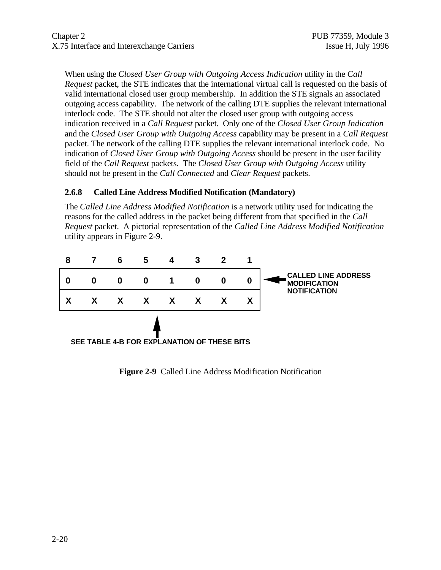When using the *Closed User Group with Outgoing Access Indication* utility in the *Call Request* packet, the STE indicates that the international virtual call is requested on the basis of valid international closed user group membership. In addition the STE signals an associated outgoing access capability. The network of the calling DTE supplies the relevant international interlock code. The STE should not alter the closed user group with outgoing access indication received in a *Call Request* packet. Only one of the *Closed User Group Indication* and the *Closed User Group with Outgoing Access* capability may be present in a *Call Request* packet. The network of the calling DTE supplies the relevant international interlock code. No indication of *Closed User Group with Outgoing Access* should be present in the user facility field of the *Call Request* packets. The *Closed User Group with Outgoing Access* utility should not be present in the *Call Connected* and *Clear Request* packets.

#### **2.6.8 Called Line Address Modified Notification (Mandatory)**

The *Called Line Address Modified Notification* is a network utility used for indicating the reasons for the called address in the packet being different from that specified in the *Call Request* packet. A pictorial representation of the *Called Line Address Modified Notification* utility appears in Figure 2-9.



**Figure 2-9** Called Line Address Modification Notification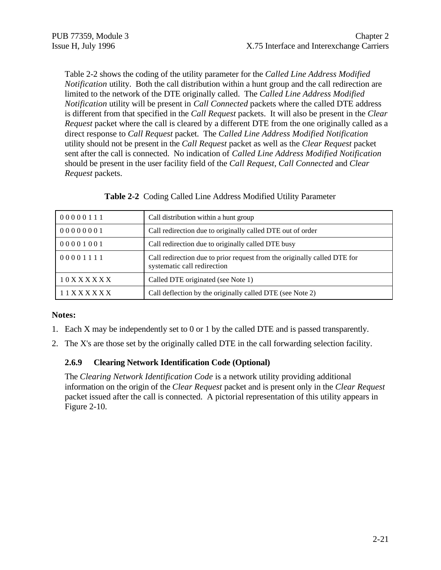Table 2-2 shows the coding of the utility parameter for the *Called Line Address Modified Notification* utility. Both the call distribution within a hunt group and the call redirection are limited to the network of the DTE originally called. The *Called Line Address Modified Notification* utility will be present in *Call Connected* packets where the called DTE address is different from that specified in the *Call Request* packets. It will also be present in the *Clear Request* packet where the call is cleared by a different DTE from the one originally called as a direct response to *Call Request* packet. The *Called Line Address Modified Notification* utility should not be present in the *Call Request* packet as well as the *Clear Request* packet sent after the call is connected. No indication of *Called Line Address Modified Notification* should be present in the user facility field of the *Call Request*, *Call Connected* and *Clear Request* packets.

| 00000111 | Call distribution within a hunt group                                                                   |
|----------|---------------------------------------------------------------------------------------------------------|
| 00000001 | Call redirection due to originally called DTE out of order                                              |
| 00001001 | Call redirection due to originally called DTE busy                                                      |
| 00001111 | Call redirection due to prior request from the originally called DTE for<br>systematic call redirection |
| 10XXXXXX | Called DTE originated (see Note 1)                                                                      |
| 11XXXXXX | Call deflection by the originally called DTE (see Note 2)                                               |

**Table 2-2** Coding Called Line Address Modified Utility Parameter

#### **Notes:**

- 1. Each X may be independently set to 0 or 1 by the called DTE and is passed transparently.
- 2. The X's are those set by the originally called DTE in the call forwarding selection facility.

#### **2.6.9 Clearing Network Identification Code (Optional)**

The *Clearing Network Identification Code* is a network utility providing additional information on the origin of the *Clear Request* packet and is present only in the *Clear Request* packet issued after the call is connected. A pictorial representation of this utility appears in Figure 2-10.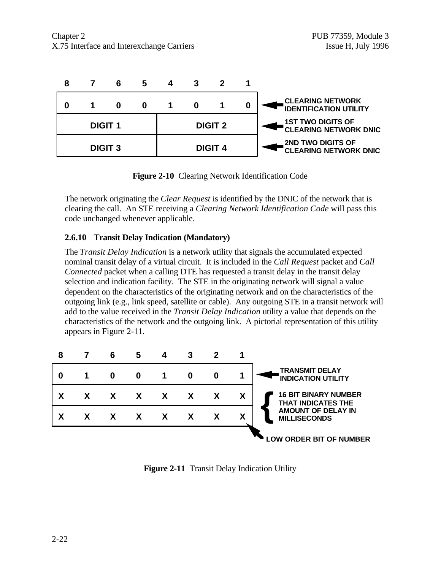

**Figure 2-10** Clearing Network Identification Code

The network originating the *Clear Request* is identified by the DNIC of the network that is clearing the call. An STE receiving a *Clearing Network Identification Code* will pass this code unchanged whenever applicable.

#### **2.6.10 Transit Delay Indication (Mandatory)**

The *Transit Delay Indication* is a network utility that signals the accumulated expected nominal transit delay of a virtual circuit. It is included in the *Call Request* packet and *Call Connected* packet when a calling DTE has requested a transit delay in the transit delay selection and indication facility. The STE in the originating network will signal a value dependent on the characteristics of the originating network and on the characteristics of the outgoing link (e.g., link speed, satellite or cable). Any outgoing STE in a transit network will add to the value received in the *Transit Delay Indication* utility a value that depends on the characteristics of the network and the outgoing link. A pictorial representation of this utility appears in Figure 2-11.



**Figure 2-11** Transit Delay Indication Utility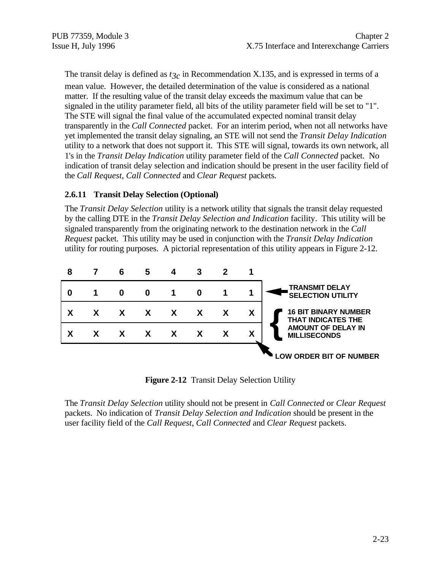The transit delay is defined as  $t_{3c}$  in Recommendation X.135, and is expressed in terms of a mean value. However, the detailed determination of the value is considered as a national matter. If the resulting value of the transit delay exceeds the maximum value that can be signaled in the utility parameter field, all bits of the utility parameter field will be set to "1". The STE will signal the final value of the accumulated expected nominal transit delay transparently in the *Call Connected* packet. For an interim period, when not all networks have yet implemented the transit delay signaling, an STE will not send the *Transit Delay Indication* utility to a network that does not support it. This STE will signal, towards its own network, all 1's in the *Transit Delay Indication* utility parameter field of the *Call Connected* packet. No indication of transit delay selection and indication should be present in the user facility field of the *Call Request*, *Call Connected* and *Clear Request* packets.

#### **2.6.11 Transit Delay Selection (Optional)**

The *Transit Delay Selection* utility is a network utility that signals the transit delay requested by the calling DTE in the *Transit Delay Selection and Indication* facility. This utility will be signaled transparently from the originating network to the destination network in the *Call Request* packet. This utility may be used in conjunction with the *Transit Delay Indication* utility for routing purposes. A pictorial representation of this utility appears in Figure 2-12.



**Figure 2-12** Transit Delay Selection Utility

The *Transit Delay Selection* utility should not be present in *Call Connected* or *Clear Request* packets. No indication of *Transit Delay Selection and Indication* should be present in the user facility field of the *Call Request*, *Call Connected* and *Clear Request* packets.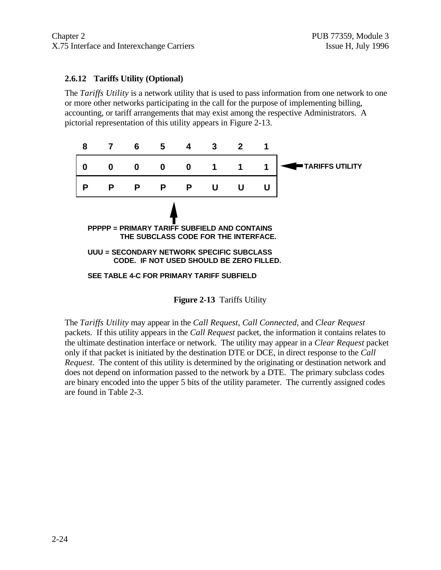#### **2.6.12 Tariffs Utility (Optional)**

The *Tariffs Utility* is a network utility that is used to pass information from one network to one or more other networks participating in the call for the purpose of implementing billing, accounting, or tariff arrangements that may exist among the respective Administrators. A pictorial representation of this utility appears in Figure 2-13.



**Figure 2-13** Tariffs Utility

The *Tariffs Utility* may appear in the *Call Request*, *Call Connected*, and *Clear Request* packets. If this utility appears in the *Call Request* packet, the information it contains relates to the ultimate destination interface or network. The utility may appear in a *Clear Request* packet only if that packet is initiated by the destination DTE or DCE, in direct response to the *Call Request*. The content of this utility is determined by the originating or destination network and does not depend on information passed to the network by a DTE. The primary subclass codes are binary encoded into the upper 5 bits of the utility parameter. The currently assigned codes are found in Table 2-3.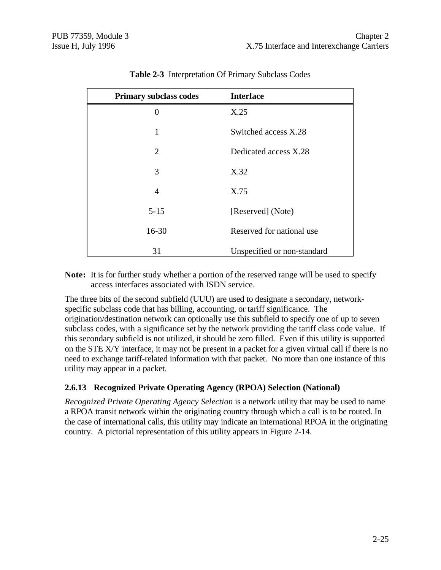| Primary subclass codes | <b>Interface</b>            |
|------------------------|-----------------------------|
| 0                      | X.25                        |
| 1                      | Switched access X.28        |
| $\overline{2}$         | Dedicated access X.28       |
| 3                      | X.32                        |
| $\overline{4}$         | X.75                        |
| $5 - 15$               | [Reserved] (Note)           |
| $16 - 30$              | Reserved for national use   |
| 31                     | Unspecified or non-standard |

| <b>Table 2-3</b> Interpretation Of Primary Subclass Codes |  |  |
|-----------------------------------------------------------|--|--|
|                                                           |  |  |

**Note:** It is for further study whether a portion of the reserved range will be used to specify access interfaces associated with ISDN service.

The three bits of the second subfield (UUU) are used to designate a secondary, networkspecific subclass code that has billing, accounting, or tariff significance. The origination/destination network can optionally use this subfield to specify one of up to seven subclass codes, with a significance set by the network providing the tariff class code value. If this secondary subfield is not utilized, it should be zero filled. Even if this utility is supported on the STE X/Y interface, it may not be present in a packet for a given virtual call if there is no need to exchange tariff-related information with that packet. No more than one instance of this utility may appear in a packet.

# **2.6.13 Recognized Private Operating Agency (RPOA) Selection (National)**

*Recognized Private Operating Agency Selection* is a network utility that may be used to name a RPOA transit network within the originating country through which a call is to be routed. In the case of international calls, this utility may indicate an international RPOA in the originating country. A pictorial representation of this utility appears in Figure 2-14.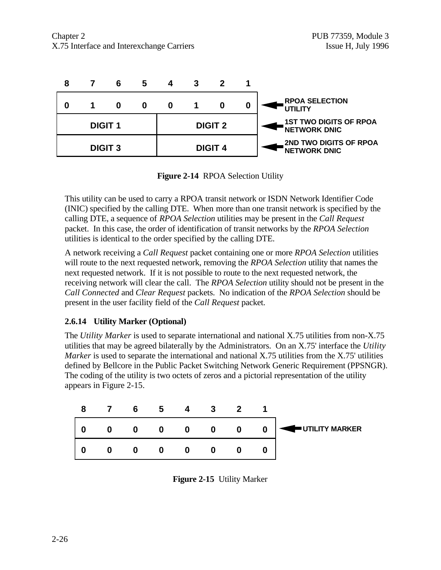

**Figure 2-14** RPOA Selection Utility

This utility can be used to carry a RPOA transit network or ISDN Network Identifier Code (INIC) specified by the calling DTE. When more than one transit network is specified by the calling DTE, a sequence of *RPOA Selection* utilities may be present in the *Call Request* packet. In this case, the order of identification of transit networks by the *RPOA Selection* utilities is identical to the order specified by the calling DTE.

A network receiving a *Call Request* packet containing one or more *RPOA Selection* utilities will route to the next requested network, removing the *RPOA Selection* utility that names the next requested network. If it is not possible to route to the next requested network, the receiving network will clear the call. The *RPOA Selection* utility should not be present in the *Call Connected* and *Clear Request* packets. No indication of the *RPOA Selection* should be present in the user facility field of the *Call Request* packet.

# **2.6.14 Utility Marker (Optional)**

The *Utility Marker* is used to separate international and national X.75 utilities from non-X.75 utilities that may be agreed bilaterally by the Administrators. On an X.75' interface the *Utility Marker* is used to separate the international and national X.75 utilities from the X.75' utilities defined by Bellcore in the Public Packet Switching Network Generic Requirement (PPSNGR). The coding of the utility is two octets of zeros and a pictorial representation of the utility appears in Figure 2-15.



**Figure 2-15** Utility Marker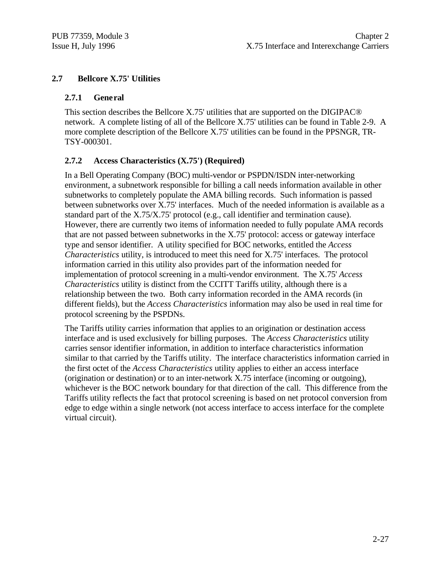# **2.7 Bellcore X.75' Utilities**

#### **2.7.1 General**

This section describes the Bellcore X.75' utilities that are supported on the DIGIPAC® network. A complete listing of all of the Bellcore X.75' utilities can be found in Table 2-9. A more complete description of the Bellcore X.75' utilities can be found in the PPSNGR, TR-TSY-000301.

# **2.7.2 Access Characteristics (X.75') (Required)**

In a Bell Operating Company (BOC) multi-vendor or PSPDN/ISDN inter-networking environment, a subnetwork responsible for billing a call needs information available in other subnetworks to completely populate the AMA billing records. Such information is passed between subnetworks over X.75' interfaces. Much of the needed information is available as a standard part of the X.75/X.75' protocol (e.g., call identifier and termination cause). However, there are currently two items of information needed to fully populate AMA records that are not passed between subnetworks in the X.75' protocol: access or gateway interface type and sensor identifier. A utility specified for BOC networks, entitled the *Access Characteristics* utility, is introduced to meet this need for X.75' interfaces. The protocol information carried in this utility also provides part of the information needed for implementation of protocol screening in a multi-vendor environment. The X.75' *Access Characteristics* utility is distinct from the CCITT Tariffs utility, although there is a relationship between the two. Both carry information recorded in the AMA records (in different fields), but the *Access Characteristics* information may also be used in real time for protocol screening by the PSPDNs.

The Tariffs utility carries information that applies to an origination or destination access interface and is used exclusively for billing purposes. The *Access Characteristics* utility carries sensor identifier information, in addition to interface characteristics information similar to that carried by the Tariffs utility. The interface characteristics information carried in the first octet of the *Access Characteristics* utility applies to either an access interface (origination or destination) or to an inter-network X.75 interface (incoming or outgoing), whichever is the BOC network boundary for that direction of the call. This difference from the Tariffs utility reflects the fact that protocol screening is based on net protocol conversion from edge to edge within a single network (not access interface to access interface for the complete virtual circuit).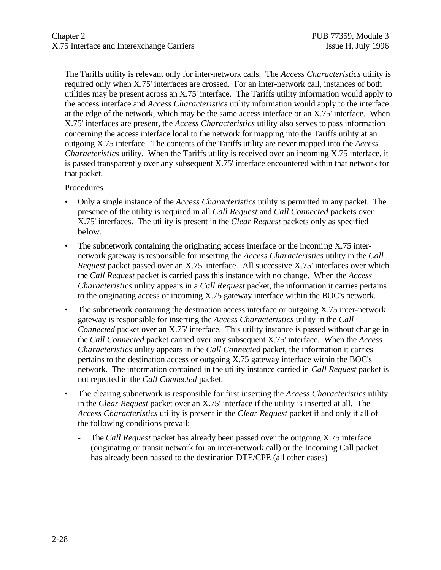The Tariffs utility is relevant only for inter-network calls. The *Access Characteristics* utility is required only when X.75' interfaces are crossed. For an inter-network call, instances of both utilities may be present across an X.75' interface. The Tariffs utility information would apply to the access interface and *Access Characteristics* utility information would apply to the interface at the edge of the network, which may be the same access interface or an X.75' interface. When X.75' interfaces are present, the *Access Characteristics* utility also serves to pass information concerning the access interface local to the network for mapping into the Tariffs utility at an outgoing X.75 interface. The contents of the Tariffs utility are never mapped into the *Access Characteristics* utility. When the Tariffs utility is received over an incoming X.75 interface, it is passed transparently over any subsequent X.75' interface encountered within that network for that packet.

**Procedures** 

- Only a single instance of the *Access Characteristics* utility is permitted in any packet. The presence of the utility is required in all *Call Request* and *Call Connected* packets over X.75' interfaces. The utility is present in the *Clear Request* packets only as specified below.
- The subnetwork containing the originating access interface or the incoming X.75 internetwork gateway is responsible for inserting the *Access Characteristics* utility in the *Call Request* packet passed over an X.75' interface. All successive X.75' interfaces over which the *Call Request* packet is carried pass this instance with no change. When the *Access Characteristics* utility appears in a *Call Request* packet, the information it carries pertains to the originating access or incoming X.75 gateway interface within the BOC's network.
- The subnetwork containing the destination access interface or outgoing X.75 inter-network gateway is responsible for inserting the *Access Characteristics* utility in the *Call Connected* packet over an X.75' interface. This utility instance is passed without change in the *Call Connected* packet carried over any subsequent X.75' interface. When the *Access Characteristics* utility appears in the *Call Connected* packet, the information it carries pertains to the destination access or outgoing X.75 gateway interface within the BOC's network. The information contained in the utility instance carried in *Call Request* packet is not repeated in the *Call Connected* packet.
- The clearing subnetwork is responsible for first inserting the *Access Characteristics* utility in the *Clear Request* packet over an X.75' interface if the utility is inserted at all. The *Access Characteristics* utility is present in the *Clear Request* packet if and only if all of the following conditions prevail:
	- The *Call Request* packet has already been passed over the outgoing X.75 interface (originating or transit network for an inter-network call) or the Incoming Call packet has already been passed to the destination DTE/CPE (all other cases)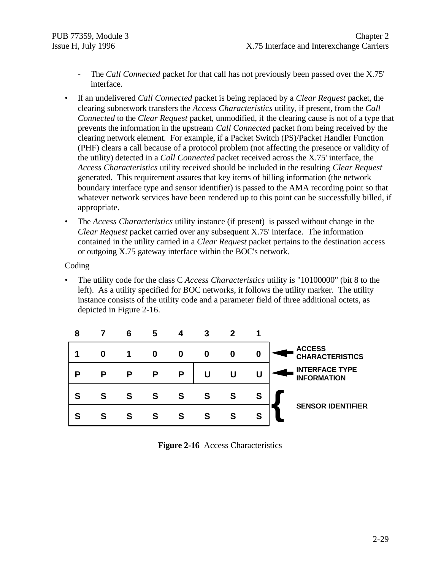- The *Call Connected* packet for that call has not previously been passed over the X.75' interface.
- If an undelivered *Call Connected* packet is being replaced by a *Clear Request* packet, the clearing subnetwork transfers the *Access Characteristics* utility, if present, from the *Call Connected* to the *Clear Request* packet, unmodified, if the clearing cause is not of a type that prevents the information in the upstream *Call Connected* packet from being received by the clearing network element. For example, if a Packet Switch (PS)/Packet Handler Function (PHF) clears a call because of a protocol problem (not affecting the presence or validity of the utility) detected in a *Call Connected* packet received across the X.75' interface, the *Access Characteristics* utility received should be included in the resulting *Clear Request* generated. This requirement assures that key items of billing information (the network boundary interface type and sensor identifier) is passed to the AMA recording point so that whatever network services have been rendered up to this point can be successfully billed, if appropriate.
- The *Access Characteristics* utility instance (if present) is passed without change in the *Clear Request* packet carried over any subsequent X.75' interface. The information contained in the utility carried in a *Clear Request* packet pertains to the destination access or outgoing X.75 gateway interface within the BOC's network.

Coding

• The utility code for the class C *Access Characteristics* utility is "10100000" (bit 8 to the left). As a utility specified for BOC networks, it follows the utility marker. The utility instance consists of the utility code and a parameter field of three additional octets, as depicted in Figure 2-16.



**Figure 2-16** Access Characteristics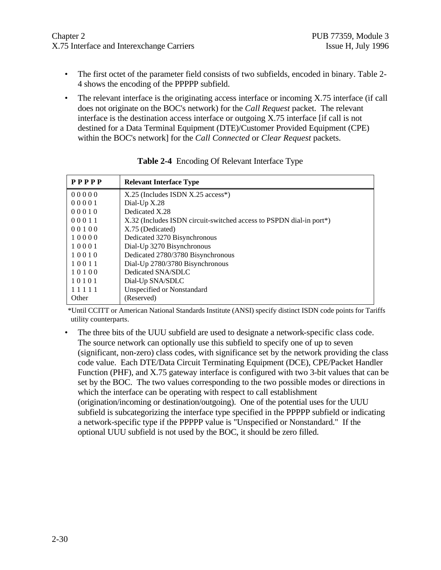- The first octet of the parameter field consists of two subfields, encoded in binary. Table 2-4 shows the encoding of the PPPPP subfield.
- The relevant interface is the originating access interface or incoming X.75 interface (if call does not originate on the BOC's network) for the *Call Request* packet. The relevant interface is the destination access interface or outgoing X.75 interface [if call is not destined for a Data Terminal Equipment (DTE)/Customer Provided Equipment (CPE) within the BOC's network] for the *Call Connected* or *Clear Request* packets.

| PPPPP | <b>Relevant Interface Type</b>                                      |
|-------|---------------------------------------------------------------------|
| 00000 | $X.25$ (Includes ISDN $X.25$ access <sup>*</sup> )                  |
| 00001 | Dial-Up X.28                                                        |
| 00010 | Dedicated X.28                                                      |
| 00011 | X.32 (Includes ISDN circuit-switched access to PSPDN dial-in port*) |
| 00100 | X.75 (Dedicated)                                                    |
| 10000 | Dedicated 3270 Bisynchronous                                        |
| 10001 | Dial-Up 3270 Bisynchronous                                          |
| 10010 | Dedicated 2780/3780 Bisynchronous                                   |
| 10011 | Dial-Up 2780/3780 Bisynchronous                                     |
| 10100 | Dedicated SNA/SDLC                                                  |
| 10101 | Dial-Up SNA/SDLC                                                    |
| 11111 | <b>Unspecified or Nonstandard</b>                                   |
| Other | (Reserved)                                                          |

**Table 2-4** Encoding Of Relevant Interface Type

\*Until CCITT or American National Standards Institute (ANSI) specify distinct ISDN code points for Tariffs utility counterparts.

• The three bits of the UUU subfield are used to designate a network-specific class code. The source network can optionally use this subfield to specify one of up to seven (significant, non-zero) class codes, with significance set by the network providing the class code value. Each DTE/Data Circuit Terminating Equipment (DCE), CPE/Packet Handler Function (PHF), and X.75 gateway interface is configured with two 3-bit values that can be set by the BOC. The two values corresponding to the two possible modes or directions in which the interface can be operating with respect to call establishment (origination/incoming or destination/outgoing). One of the potential uses for the UUU subfield is subcategorizing the interface type specified in the PPPPP subfield or indicating a network-specific type if the PPPPP value is "Unspecified or Nonstandard." If the optional UUU subfield is not used by the BOC, it should be zero filled.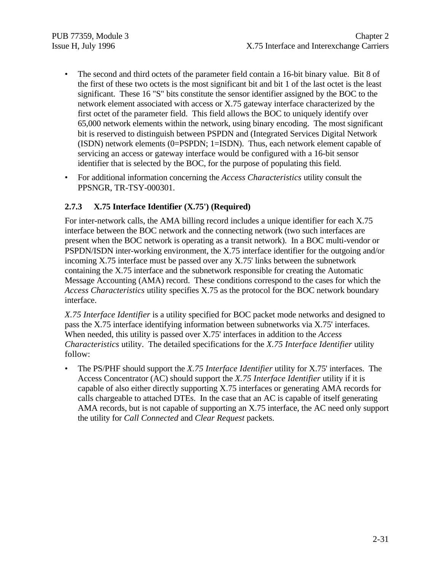- The second and third octets of the parameter field contain a 16-bit binary value. Bit 8 of the first of these two octets is the most significant bit and bit 1 of the last octet is the least significant. These 16 "S" bits constitute the sensor identifier assigned by the BOC to the network element associated with access or X.75 gateway interface characterized by the first octet of the parameter field. This field allows the BOC to uniquely identify over 65,000 network elements within the network, using binary encoding. The most significant bit is reserved to distinguish between PSPDN and (Integrated Services Digital Network (ISDN) network elements (0=PSPDN; 1=ISDN). Thus, each network element capable of servicing an access or gateway interface would be configured with a 16-bit sensor identifier that is selected by the BOC, for the purpose of populating this field.
- For additional information concerning the *Access Characteristics* utility consult the PPSNGR, TR-TSY-000301.

# **2.7.3 X.75 Interface Identifier (X.75') (Required)**

For inter-network calls, the AMA billing record includes a unique identifier for each X.75 interface between the BOC network and the connecting network (two such interfaces are present when the BOC network is operating as a transit network). In a BOC multi-vendor or PSPDN/ISDN inter-working environment, the X.75 interface identifier for the outgoing and/or incoming X.75 interface must be passed over any X.75' links between the subnetwork containing the X.75 interface and the subnetwork responsible for creating the Automatic Message Accounting (AMA) record. These conditions correspond to the cases for which the *Access Characteristics* utility specifies X.75 as the protocol for the BOC network boundary interface.

*X.75 Interface Identifier* is a utility specified for BOC packet mode networks and designed to pass the X.75 interface identifying information between subnetworks via X.75' interfaces. When needed, this utility is passed over X.75' interfaces in addition to the *Access Characteristics* utility. The detailed specifications for the *X.75 Interface Identifier* utility follow:

• The PS/PHF should support the *X.75 Interface Identifier* utility for X.75' interfaces. The Access Concentrator (AC) should support the *X.75 Interface Identifier* utility if it is capable of also either directly supporting X.75 interfaces or generating AMA records for calls chargeable to attached DTEs. In the case that an AC is capable of itself generating AMA records, but is not capable of supporting an X.75 interface, the AC need only support the utility for *Call Connected* and *Clear Request* packets.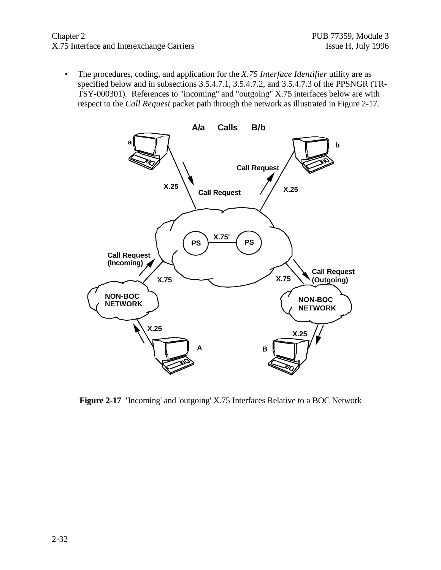#### Chapter 2 PUB 77359, Module 3 X.75 Interface and Interexchange Carriers Issue H, July 1996

• The procedures, coding, and application for the *X.75 Interface Identifier* utility are as specified below and in subsections 3.5.4.7.1, 3.5.4.7.2, and 3.5.4.7.3 of the PPSNGR (TR-TSY-000301). References to "incoming" and "outgoing" X.75 interfaces below are with respect to the *Call Request* packet path through the network as illustrated in Figure 2-17.



**Figure 2-17 '**Incoming' and 'outgoing' X.75 Interfaces Relative to a BOC Network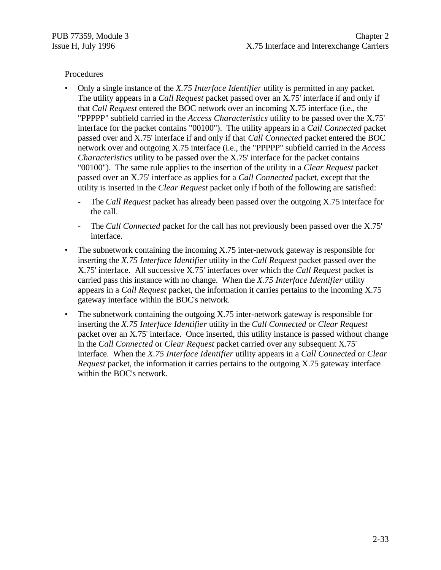#### Procedures

- Only a single instance of the *X.75 Interface Identifier* utility is permitted in any packet. The utility appears in a *Call Request* packet passed over an X.75' interface if and only if that *Call Request* entered the BOC network over an incoming X.75 interface (i.e., the "PPPPP" subfield carried in the *Access Characteristics* utility to be passed over the X.75' interface for the packet contains "00100"). The utility appears in a *Call Connected* packet passed over and X.75' interface if and only if that *Call Connected* packet entered the BOC network over and outgoing X.75 interface (i.e., the "PPPPP" subfield carried in the *Access Characteristics* utility to be passed over the X.75' interface for the packet contains "00100"). The same rule applies to the insertion of the utility in a *Clear Request* packet passed over an X.75' interface as applies for a *Call Connected* packet, except that the utility is inserted in the *Clear Request* packet only if both of the following are satisfied:
	- The *Call Request* packet has already been passed over the outgoing X.75 interface for the call.
	- The *Call Connected* packet for the call has not previously been passed over the X.75' interface.
- The subnetwork containing the incoming X.75 inter-network gateway is responsible for inserting the *X.75 Interface Identifier* utility in the *Call Request* packet passed over the X.75' interface. All successive X.75' interfaces over which the *Call Request* packet is carried pass this instance with no change. When the *X.75 Interface Identifier* utility appears in a *Call Request* packet, the information it carries pertains to the incoming X.75 gateway interface within the BOC's network.
- The subnetwork containing the outgoing X.75 inter-network gateway is responsible for inserting the *X.75 Interface Identifier* utility in the *Call Connected* or *Clear Request* packet over an X.75' interface. Once inserted, this utility instance is passed without change in the *Call Connected* or *Clear Request* packet carried over any subsequent X.75' interface. When the *X.75 Interface Identifier* utility appears in a *Call Connected* or *Clear Request* packet, the information it carries pertains to the outgoing X.75 gateway interface within the BOC's network.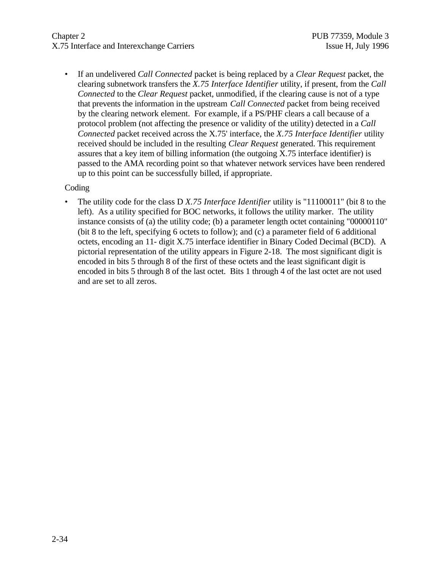# Chapter 2 PUB 77359, Module 3 X.75 Interface and Interexchange Carriers Issue H, July 1996

• If an undelivered *Call Connected* packet is being replaced by a *Clear Request* packet, the clearing subnetwork transfers the *X.75 Interface Identifier* utility, if present, from the *Call Connected* to the *Clear Request* packet, unmodified, if the clearing cause is not of a type that prevents the information in the upstream *Call Connected* packet from being received by the clearing network element. For example, if a PS/PHF clears a call because of a protocol problem (not affecting the presence or validity of the utility) detected in a *Call Connected* packet received across the X.75' interface, the *X.75 Interface Identifier* utility received should be included in the resulting *Clear Request* generated. This requirement assures that a key item of billing information (the outgoing X.75 interface identifier) is passed to the AMA recording point so that whatever network services have been rendered up to this point can be successfully billed, if appropriate.

#### Coding

• The utility code for the class D *X.75 Interface Identifier* utility is "11100011" (bit 8 to the left). As a utility specified for BOC networks, it follows the utility marker. The utility instance consists of (a) the utility code; (b) a parameter length octet containing "00000110" (bit 8 to the left, specifying 6 octets to follow); and (c) a parameter field of 6 additional octets, encoding an 11- digit X.75 interface identifier in Binary Coded Decimal (BCD). A pictorial representation of the utility appears in Figure 2-18. The most significant digit is encoded in bits 5 through 8 of the first of these octets and the least significant digit is encoded in bits 5 through 8 of the last octet. Bits 1 through 4 of the last octet are not used and are set to all zeros.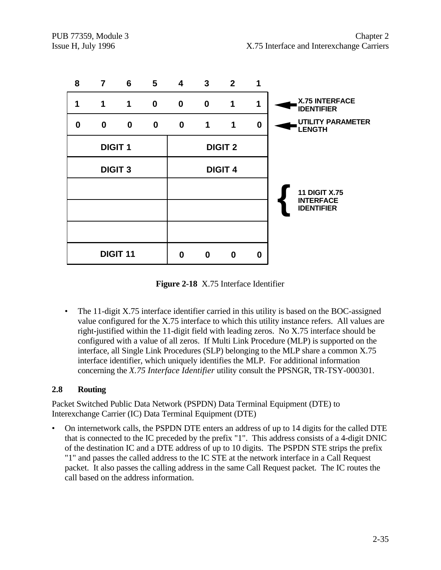

**Figure 2-18** X.75 Interface Identifier

• The 11-digit X.75 interface identifier carried in this utility is based on the BOC-assigned value configured for the X.75 interface to which this utility instance refers. All values are right-justified within the 11-digit field with leading zeros. No X.75 interface should be configured with a value of all zeros. If Multi Link Procedure (MLP) is supported on the interface, all Single Link Procedures (SLP) belonging to the MLP share a common X.75 interface identifier, which uniquely identifies the MLP. For additional information concerning the *X.75 Interface Identifier* utility consult the PPSNGR, TR-TSY-000301.

# **2.8 Routing**

Packet Switched Public Data Network (PSPDN) Data Terminal Equipment (DTE) to Interexchange Carrier (IC) Data Terminal Equipment (DTE)

• On internetwork calls, the PSPDN DTE enters an address of up to 14 digits for the called DTE that is connected to the IC preceded by the prefix "1". This address consists of a 4-digit DNIC of the destination IC and a DTE address of up to 10 digits. The PSPDN STE strips the prefix "1" and passes the called address to the IC STE at the network interface in a Call Request packet. It also passes the calling address in the same Call Request packet. The IC routes the call based on the address information.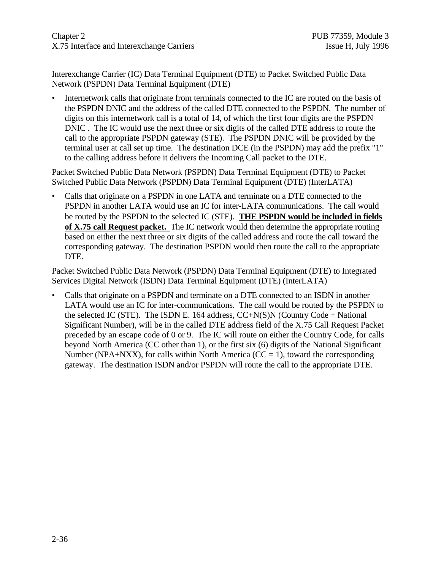Interexchange Carrier (IC) Data Terminal Equipment (DTE) to Packet Switched Public Data Network (PSPDN) Data Terminal Equipment (DTE)

• Internetwork calls that originate from terminals connected to the IC are routed on the basis of the PSPDN DNIC and the address of the called DTE connected to the PSPDN. The number of digits on this internetwork call is a total of 14, of which the first four digits are the PSPDN DNIC . The IC would use the next three or six digits of the called DTE address to route the call to the appropriate PSPDN gateway (STE). The PSPDN DNIC will be provided by the terminal user at call set up time. The destination DCE (in the PSPDN) may add the prefix "1" to the calling address before it delivers the Incoming Call packet to the DTE.

Packet Switched Public Data Network (PSPDN) Data Terminal Equipment (DTE) to Packet Switched Public Data Network (PSPDN) Data Terminal Equipment (DTE) (InterLATA)

• Calls that originate on a PSPDN in one LATA and terminate on a DTE connected to the PSPDN in another LATA would use an IC for inter-LATA communications. The call would be routed by the PSPDN to the selected IC (STE). **THE PSPDN would be included in fields of X.75 call Request packet.** The IC network would then determine the appropriate routing based on either the next three or six digits of the called address and route the call toward the corresponding gateway. The destination PSPDN would then route the call to the appropriate DTE.

Packet Switched Public Data Network (PSPDN) Data Terminal Equipment (DTE) to Integrated Services Digital Network (ISDN) Data Terminal Equipment (DTE) (InterLATA)

• Calls that originate on a PSPDN and terminate on a DTE connected to an ISDN in another LATA would use an IC for inter-communications. The call would be routed by the PSPDN to the selected IC (STE). The ISDN E. 164 address,  $CC+N(S)N$  (Country Code + National Significant Number), will be in the called DTE address field of the X.75 Call Request Packet preceded by an escape code of 0 or 9. The IC will route on either the Country Code, for calls beyond North America (CC other than 1), or the first six (6) digits of the National Significant Number (NPA+NXX), for calls within North America ( $CC = 1$ ), toward the corresponding gateway. The destination ISDN and/or PSPDN will route the call to the appropriate DTE.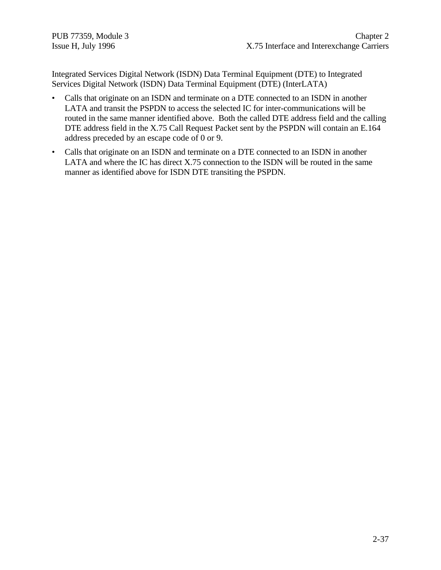Integrated Services Digital Network (ISDN) Data Terminal Equipment (DTE) to Integrated Services Digital Network (ISDN) Data Terminal Equipment (DTE) (InterLATA)

- Calls that originate on an ISDN and terminate on a DTE connected to an ISDN in another LATA and transit the PSPDN to access the selected IC for inter-communications will be routed in the same manner identified above. Both the called DTE address field and the calling DTE address field in the X.75 Call Request Packet sent by the PSPDN will contain an E.164 address preceded by an escape code of 0 or 9.
- Calls that originate on an ISDN and terminate on a DTE connected to an ISDN in another LATA and where the IC has direct X.75 connection to the ISDN will be routed in the same manner as identified above for ISDN DTE transiting the PSPDN.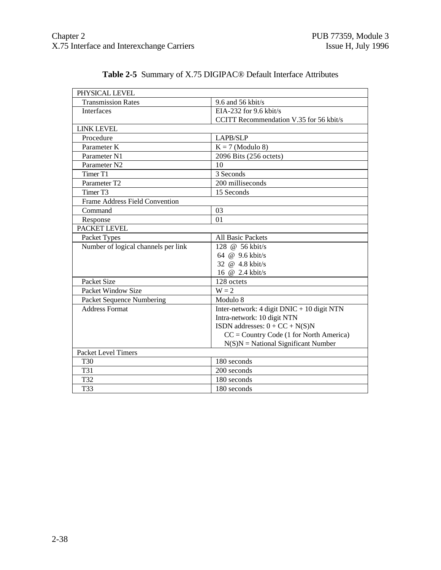| PHYSICAL LEVEL                      |                                              |
|-------------------------------------|----------------------------------------------|
| <b>Transmission Rates</b>           | 9.6 and 56 kbit/s                            |
| Interfaces                          | EIA-232 for 9.6 kbit/s                       |
|                                     | CCITT Recommendation V.35 for 56 kbit/s      |
| <b>LINK LEVEL</b>                   |                                              |
| Procedure                           | LAPB/SLP                                     |
| Parameter K                         | $K = 7$ (Modulo 8)                           |
| Parameter N1                        | 2096 Bits (256 octets)                       |
| Parameter N <sub>2</sub>            | 10                                           |
| Timer T1                            | 3 Seconds                                    |
| Parameter T2                        | 200 milliseconds                             |
| Timer T3                            | 15 Seconds                                   |
| Frame Address Field Convention      |                                              |
| Command                             | 03                                           |
| Response                            | 01                                           |
| PACKET LEVEL                        |                                              |
| Packet Types                        | <b>All Basic Packets</b>                     |
| Number of logical channels per link | 128 @ 56 kbit/s                              |
|                                     | 64 @ 9.6 kbit/s                              |
|                                     | 32 @ 4.8 kbit/s                              |
|                                     | 16 @ 2.4 kbit/s                              |
| Packet Size                         | 128 octets                                   |
| Packet Window Size                  | $W = 2$                                      |
| Packet Sequence Numbering           | Modulo 8                                     |
| <b>Address Format</b>               | Inter-network: 4 digit $DNIC + 10$ digit NTN |
|                                     | Intra-network: 10 digit NTN                  |
|                                     | ISDN addresses: $0 + CC + N(S)N$             |
|                                     | $CC = Country Code (1 for North America)$    |
|                                     | $N(S)N = National Significant Number$        |
| <b>Packet Level Timers</b>          |                                              |
| T <sub>30</sub>                     | 180 seconds                                  |
| <b>T31</b>                          | 200 seconds                                  |
| T32                                 | 180 seconds                                  |
| T33                                 | 180 seconds                                  |

# **Table 2-5** Summary of X.75 DIGIPAC® Default Interface Attributes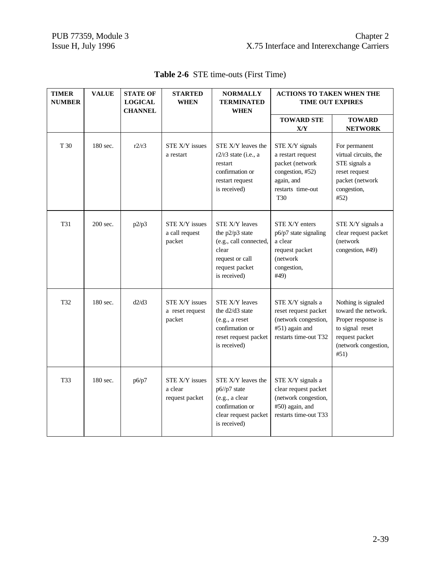| <b>TIMER</b><br><b>NUMBER</b> | <b>VALUE</b> | <b>STATE OF</b><br><b>LOGICAL</b><br><b>CHANNEL</b> | <b>STARTED</b><br><b>WHEN</b>                      | <b>NORMALLY</b><br><b>TERMINATED</b><br><b>WHEN</b>                                                                              | <b>ACTIONS TO TAKEN WHEN THE</b><br><b>TIME OUT EXPIRES</b>                                                                  |                                                                                                                                       |
|-------------------------------|--------------|-----------------------------------------------------|----------------------------------------------------|----------------------------------------------------------------------------------------------------------------------------------|------------------------------------------------------------------------------------------------------------------------------|---------------------------------------------------------------------------------------------------------------------------------------|
|                               |              |                                                     |                                                    |                                                                                                                                  | <b>TOWARD STE</b><br>X/Y                                                                                                     | <b>TOWARD</b><br><b>NETWORK</b>                                                                                                       |
| T 30                          | 180 sec.     | r2/r3                                               | STE X/Y issues<br>a restart                        | STE X/Y leaves the<br>$r2/r3$ state (i.e., a<br>restart<br>confirmation or<br>restart request<br>is received)                    | STE X/Y signals<br>a restart request<br>packet (network<br>congestion, #52)<br>again, and<br>restarts time-out<br><b>T30</b> | For permanent<br>virtual circuits, the<br>STE signals a<br>reset request<br>packet (network<br>congestion,<br>#52)                    |
| T31                           | 200 sec.     | p2/p3                                               | <b>STE X/Y issues</b><br>a call request<br>packet  | <b>STE X/Y leaves</b><br>the p2/p3 state<br>(e.g., call connected,<br>clear<br>request or call<br>request packet<br>is received) | STE X/Y enters<br>p6/p7 state signaling<br>a clear<br>request packet<br>(network<br>congestion,<br>#49)                      | STE X/Y signals a<br>clear request packet<br>(network<br>congestion, #49)                                                             |
| T32                           | 180 sec.     | d2/d3                                               | <b>STE X/Y issues</b><br>a reset request<br>packet | STE X/Y leaves<br>the d2/d3 state<br>(e.g., a reset<br>confirmation or<br>reset request packet<br>is received)                   | STE X/Y signals a<br>reset request packet<br>(network congestion,<br>#51) again and<br>restarts time-out T32                 | Nothing is signaled<br>toward the network.<br>Proper response is<br>to signal reset<br>request packet<br>(network congestion,<br>#51) |
| <b>T33</b>                    | 180 sec.     | p6/p7                                               | <b>STE X/Y issues</b><br>a clear<br>request packet | STE X/Y leaves the<br>p6//p7 state<br>(e.g., a clear<br>confirmation or<br>clear request packet<br>is received)                  | STE X/Y signals a<br>clear request packet<br>(network congestion,<br>#50) again, and<br>restarts time-out T33                |                                                                                                                                       |

**Table 2-6** STE time-outs (First Time)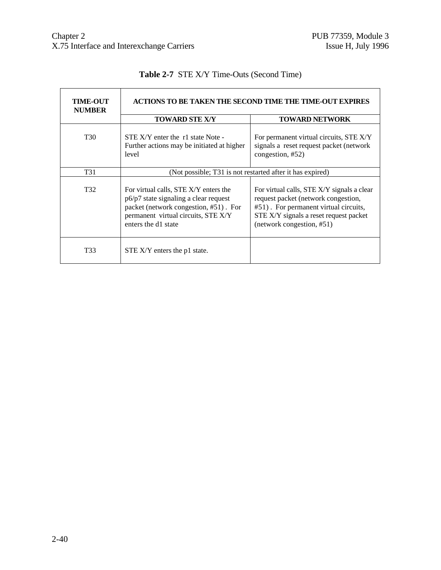| <b>TIME-OUT</b><br><b>NUMBER</b> | ACTIONS TO BE TAKEN THE SECOND TIME THE TIME-OUT EXPIRES                                                                                                                                                                                                                                                                                                                                   |                                                                                                        |  |  |  |
|----------------------------------|--------------------------------------------------------------------------------------------------------------------------------------------------------------------------------------------------------------------------------------------------------------------------------------------------------------------------------------------------------------------------------------------|--------------------------------------------------------------------------------------------------------|--|--|--|
|                                  | <b>TOWARD STE X/Y</b>                                                                                                                                                                                                                                                                                                                                                                      | <b>TOWARD NETWORK</b>                                                                                  |  |  |  |
| T30                              | STE X/Y enter the r1 state Note -<br>Further actions may be initiated at higher<br>level                                                                                                                                                                                                                                                                                                   | For permanent virtual circuits, STE X/Y<br>signals a reset request packet (network<br>congestion, #52) |  |  |  |
| T31                              | (Not possible; T31 is not restarted after it has expired)                                                                                                                                                                                                                                                                                                                                  |                                                                                                        |  |  |  |
| T32                              | For virtual calls, STE X/Y enters the<br>For virtual calls, STE X/Y signals a clear<br>p6/p7 state signaling a clear request<br>request packet (network congestion,<br>packet (network congestion, #51). For<br>#51). For permanent virtual circuits,<br>permanent virtual circuits, STE X/Y<br>STE X/Y signals a reset request packet<br>enters the d1 state<br>(network congestion, #51) |                                                                                                        |  |  |  |
| T33                              | STE X/Y enters the p1 state.                                                                                                                                                                                                                                                                                                                                                               |                                                                                                        |  |  |  |

# **Table 2-7** STE X/Y Time-Outs (Second Time)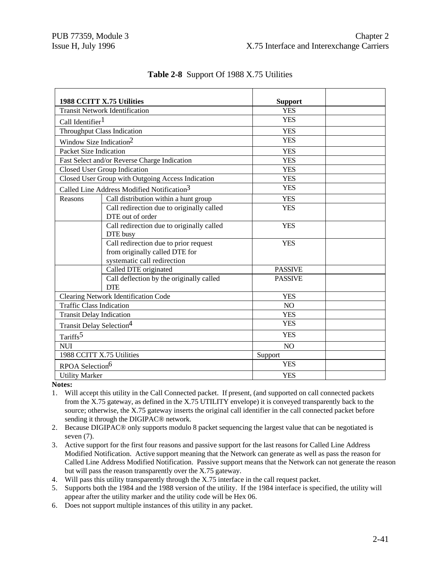|                                                                    |                                                                   | <b>Support</b> |  |
|--------------------------------------------------------------------|-------------------------------------------------------------------|----------------|--|
| 1988 CCITT X.75 Utilities<br><b>Transit Network Identification</b> |                                                                   | <b>YES</b>     |  |
| Call Identifier <sup>1</sup>                                       |                                                                   | <b>YES</b>     |  |
|                                                                    | Throughput Class Indication                                       | <b>YES</b>     |  |
| Window Size Indication <sup>2</sup>                                |                                                                   | <b>YES</b>     |  |
| <b>Packet Size Indication</b>                                      |                                                                   | <b>YES</b>     |  |
|                                                                    | Fast Select and/or Reverse Charge Indication                      | <b>YES</b>     |  |
|                                                                    | Closed User Group Indication                                      | <b>YES</b>     |  |
|                                                                    | Closed User Group with Outgoing Access Indication                 | <b>YES</b>     |  |
|                                                                    | Called Line Address Modified Notification <sup>3</sup>            | <b>YES</b>     |  |
| Reasons                                                            | Call distribution within a hunt group                             | <b>YES</b>     |  |
|                                                                    | Call redirection due to originally called                         | <b>YES</b>     |  |
|                                                                    | DTE out of order                                                  |                |  |
|                                                                    | Call redirection due to originally called                         | <b>YES</b>     |  |
|                                                                    | DTE busy                                                          |                |  |
|                                                                    | Call redirection due to prior request                             | <b>YES</b>     |  |
|                                                                    | from originally called DTE for                                    |                |  |
|                                                                    | systematic call redirection                                       | <b>PASSIVE</b> |  |
|                                                                    | Called DTE originated<br>Call deflection by the originally called | <b>PASSIVE</b> |  |
|                                                                    | <b>DTE</b>                                                        |                |  |
|                                                                    | Clearing Network Identification Code                              | <b>YES</b>     |  |
| <b>Traffic Class Indication</b>                                    |                                                                   | N <sub>O</sub> |  |
| <b>Transit Delay Indication</b>                                    |                                                                   | <b>YES</b>     |  |
| Transit Delay Selection <sup>4</sup>                               |                                                                   | <b>YES</b>     |  |
| Tariffs <sup>5</sup>                                               |                                                                   | <b>YES</b>     |  |
| <b>NUI</b>                                                         |                                                                   | N <sub>O</sub> |  |
| 1988 CCITT X.75 Utilities                                          |                                                                   | Support        |  |
| RPOA Selection <sup>6</sup>                                        |                                                                   | <b>YES</b>     |  |
| <b>Utility Marker</b>                                              |                                                                   | <b>YES</b>     |  |

# **Table 2-8** Support Of 1988 X.75 Utilities

**Notes:**

1. Will accept this utility in the Call Connected packet. If present, (and supported on call connected packets from the X.75 gateway, as defined in the X.75 UTILITY envelope) it is conveyed transparently back to the source; otherwise, the X.75 gateway inserts the original call identifier in the call connected packet before sending it through the DIGIPAC® network.

2. Because DIGIPAC® only supports modulo 8 packet sequencing the largest value that can be negotiated is seven (7).

3. Active support for the first four reasons and passive support for the last reasons for Called Line Address Modified Notification. Active support meaning that the Network can generate as well as pass the reason for Called Line Address Modified Notification. Passive support means that the Network can not generate the reason but will pass the reason transparently over the X.75 gateway.

4. Will pass this utility transparently through the X.75 interface in the call request packet.

- 5. Supports both the 1984 and the 1988 version of the utility. If the 1984 interface is specified, the utility will appear after the utility marker and the utility code will be Hex 06.
- 6. Does not support multiple instances of this utility in any packet.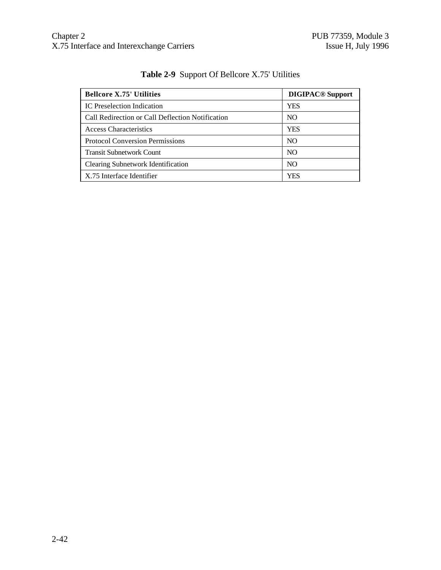| <b>Bellcore X.75' Utilities</b>                  | <b>DIGIPAC<sup>®</sup></b> Support |
|--------------------------------------------------|------------------------------------|
| IC Preselection Indication                       | YES                                |
| Call Redirection or Call Deflection Notification | NO.                                |
| <b>Access Characteristics</b>                    | <b>YES</b>                         |
| <b>Protocol Conversion Permissions</b>           | NO.                                |
| <b>Transit Subnetwork Count</b>                  | NO.                                |
| <b>Clearing Subnetwork Identification</b>        | NO.                                |
| X.75 Interface Identifier                        | YES                                |

# **Table 2-9** Support Of Bellcore X.75' Utilities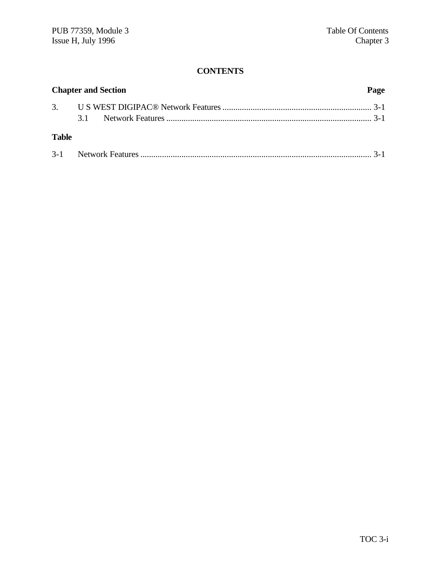# **CONTENTS**

| <b>Chapter and Section</b> |  |  | Page |
|----------------------------|--|--|------|
|                            |  |  |      |
|                            |  |  |      |
| <b>Table</b>               |  |  |      |
|                            |  |  |      |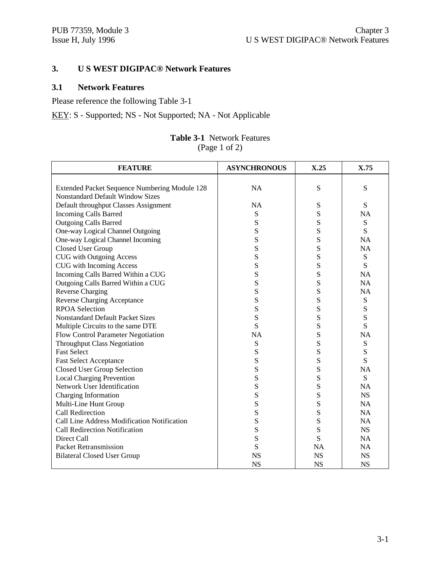# **3. U S WEST DIGIPAC® Network Features**

# **3.1 Network Features**

Please reference the following Table 3-1

KEY: S - Supported; NS - Not Supported; NA - Not Applicable

#### **Table 3-1** Network Features (Page 1 of 2)

| <b>FEATURE</b>                                | <b>ASYNCHRONOUS</b> | X.25      | X.75      |
|-----------------------------------------------|---------------------|-----------|-----------|
|                                               |                     |           |           |
| Extended Packet Sequence Numbering Module 128 | <b>NA</b>           | S         | ${\bf S}$ |
| <b>Nonstandard Default Window Sizes</b>       |                     |           |           |
| Default throughput Classes Assignment         | <b>NA</b>           | S         | S         |
| <b>Incoming Calls Barred</b>                  | S                   | S         | <b>NA</b> |
| <b>Outgoing Calls Barred</b>                  | S                   | S         | S         |
| One-way Logical Channel Outgoing              | S                   | S         | S         |
| One-way Logical Channel Incoming              | S                   | S         | <b>NA</b> |
| Closed User Group                             | S                   | S         | <b>NA</b> |
| <b>CUG</b> with Outgoing Access               | S                   | S         | S         |
| CUG with Incoming Access                      | S                   | S         | S         |
| Incoming Calls Barred Within a CUG            | ${\bf S}$           | S         | <b>NA</b> |
| Outgoing Calls Barred Within a CUG            | S                   | S         | <b>NA</b> |
| <b>Reverse Charging</b>                       | ${\bf S}$           | S         | <b>NA</b> |
| <b>Reverse Charging Acceptance</b>            | S                   | S         | ${\bf S}$ |
| <b>RPOA Selection</b>                         | S                   | S         | S         |
| <b>Nonstandard Default Packet Sizes</b>       | S                   | S         | S         |
| Multiple Circuits to the same DTE             | S                   | S         | S         |
| Flow Control Parameter Negotiation            | <b>NA</b>           | S         | <b>NA</b> |
| <b>Throughput Class Negotiation</b>           | S                   | S         | S         |
| <b>Fast Select</b>                            | S                   | S         | S         |
| <b>Fast Select Acceptance</b>                 | ${\bf S}$           | S         | S         |
| <b>Closed User Group Selection</b>            | S                   | S         | <b>NA</b> |
| <b>Local Charging Prevention</b>              | ${\bf S}$           | S         | S         |
| Network User Identification                   | S                   | S         | <b>NA</b> |
| Charging Information                          | S                   | S         | <b>NS</b> |
| Multi-Line Hunt Group                         | ${\bf S}$           | S         | <b>NA</b> |
| <b>Call Redirection</b>                       | S                   | S         | <b>NA</b> |
| Call Line Address Modification Notification   | S                   | S         | <b>NA</b> |
| Call Redirection Notification                 | S                   | S         | <b>NS</b> |
| Direct Call                                   | S                   | S         | <b>NA</b> |
| <b>Packet Retransmission</b>                  | S                   | <b>NA</b> | <b>NA</b> |
| <b>Bilateral Closed User Group</b>            | <b>NS</b>           | <b>NS</b> | <b>NS</b> |
|                                               | <b>NS</b>           | <b>NS</b> | <b>NS</b> |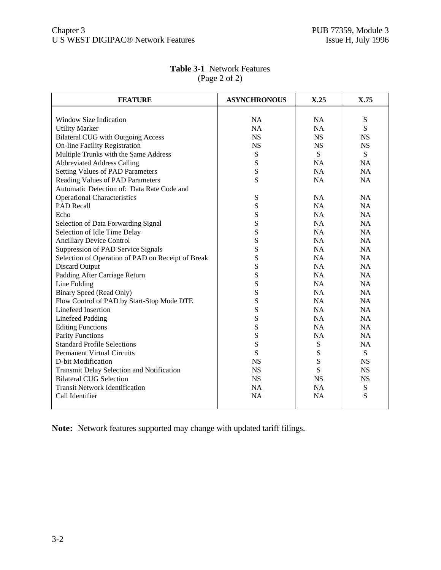| <b>FEATURE</b>                                    | <b>ASYNCHRONOUS</b> | X.25      | X.75      |
|---------------------------------------------------|---------------------|-----------|-----------|
|                                                   |                     |           |           |
| Window Size Indication                            | <b>NA</b>           | <b>NA</b> | ${\bf S}$ |
| <b>Utility Marker</b>                             | <b>NA</b>           | <b>NA</b> | S         |
| <b>Bilateral CUG</b> with Outgoing Access         | <b>NS</b>           | <b>NS</b> | <b>NS</b> |
| <b>On-line Facility Registration</b>              | <b>NS</b>           | <b>NS</b> | <b>NS</b> |
| Multiple Trunks with the Same Address             | ${\bf S}$           | S         | S         |
| <b>Abbreviated Address Calling</b>                | S                   | <b>NA</b> | <b>NA</b> |
| <b>Setting Values of PAD Parameters</b>           | S                   | NA        | <b>NA</b> |
| Reading Values of PAD Parameters                  | S                   | NA        | <b>NA</b> |
| Automatic Detection of: Data Rate Code and        |                     |           |           |
| <b>Operational Characteristics</b>                | ${\bf S}$           | <b>NA</b> | <b>NA</b> |
| <b>PAD Recall</b>                                 | ${\bf S}$           | <b>NA</b> | <b>NA</b> |
| Echo                                              | ${\bf S}$           | <b>NA</b> | <b>NA</b> |
| Selection of Data Forwarding Signal               | S                   | <b>NA</b> | <b>NA</b> |
| Selection of Idle Time Delay                      | S                   | <b>NA</b> | <b>NA</b> |
| <b>Ancillary Device Control</b>                   | ${\bf S}$           | <b>NA</b> | <b>NA</b> |
| Suppression of PAD Service Signals                | S                   | <b>NA</b> | NA        |
| Selection of Operation of PAD on Receipt of Break | S                   | NA        | <b>NA</b> |
| <b>Discard Output</b>                             | S                   | <b>NA</b> | <b>NA</b> |
| Padding After Carriage Return                     | S                   | <b>NA</b> | NA        |
| Line Folding                                      | S                   | NA        | <b>NA</b> |
| <b>Binary Speed (Read Only)</b>                   | S                   | <b>NA</b> | <b>NA</b> |
| Flow Control of PAD by Start-Stop Mode DTE        | S                   | <b>NA</b> | <b>NA</b> |
| Linefeed Insertion                                | S                   | NA        | <b>NA</b> |
| <b>Linefeed Padding</b>                           | S                   | <b>NA</b> | NA        |
| <b>Editing Functions</b>                          | S                   | <b>NA</b> | <b>NA</b> |
| <b>Parity Functions</b>                           | S                   | <b>NA</b> | <b>NA</b> |
| <b>Standard Profile Selections</b>                | S                   | ${\bf S}$ | <b>NA</b> |
| <b>Permanent Virtual Circuits</b>                 | S                   | S         | S         |
| D-bit Modification                                | <b>NS</b>           | S         | <b>NS</b> |
| Transmit Delay Selection and Notification         | <b>NS</b>           | S         | <b>NS</b> |
| <b>Bilateral CUG Selection</b>                    | <b>NS</b>           | <b>NS</b> | <b>NS</b> |
| <b>Transit Network Identification</b>             | <b>NA</b>           | <b>NA</b> | ${\bf S}$ |
| Call Identifier                                   | <b>NA</b>           | <b>NA</b> | S         |
|                                                   |                     |           |           |

# **Table 3-1** Network Features (Page 2 of 2)

**Note:** Network features supported may change with updated tariff filings.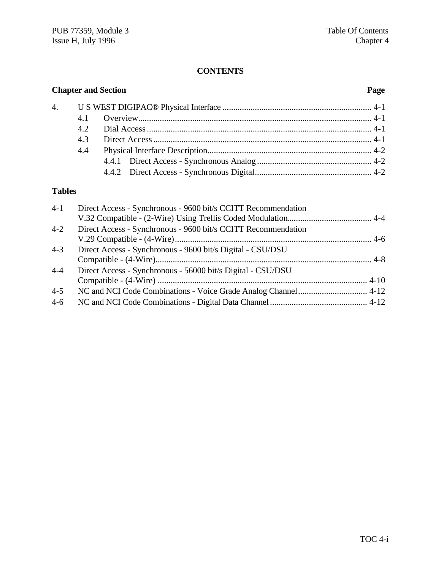# **CONTENTS**

| <b>Chapter and Section</b> |     |  | Page |
|----------------------------|-----|--|------|
|                            |     |  |      |
|                            | 4.1 |  |      |
|                            |     |  |      |
|                            | 4.3 |  |      |
|                            | 4.4 |  |      |
|                            |     |  |      |
|                            |     |  |      |

# **Tables**

| $4 - 1$ | Direct Access - Synchronous - 9600 bit/s CCITT Recommendation |  |
|---------|---------------------------------------------------------------|--|
|         |                                                               |  |
| $4 - 2$ | Direct Access - Synchronous - 9600 bit/s CCITT Recommendation |  |
|         |                                                               |  |
| $4 - 3$ | Direct Access - Synchronous - 9600 bit/s Digital - CSU/DSU    |  |
|         |                                                               |  |
| $4 - 4$ | Direct Access - Synchronous - 56000 bit/s Digital - CSU/DSU   |  |
|         |                                                               |  |
| $4 - 5$ |                                                               |  |
| $4 - 6$ |                                                               |  |
|         |                                                               |  |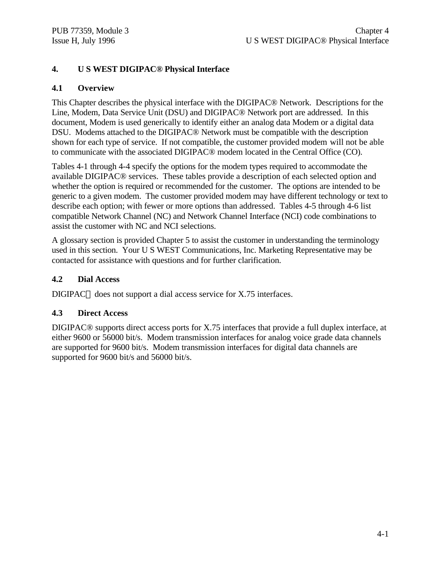# **4. U S WEST DIGIPAC® Physical Interface**

# **4.1 Overview**

This Chapter describes the physical interface with the DIGIPAC® Network. Descriptions for the Line, Modem, Data Service Unit (DSU) and DIGIPAC® Network port are addressed. In this document, Modem is used generically to identify either an analog data Modem or a digital data DSU. Modems attached to the DIGIPAC® Network must be compatible with the description shown for each type of service. If not compatible, the customer provided modem will not be able to communicate with the associated DIGIPAC® modem located in the Central Office (CO).

Tables 4-1 through 4-4 specify the options for the modem types required to accommodate the available DIGIPAC® services. These tables provide a description of each selected option and whether the option is required or recommended for the customer. The options are intended to be generic to a given modem. The customer provided modem may have different technology or text to describe each option; with fewer or more options than addressed. Tables 4-5 through 4-6 list compatible Network Channel (NC) and Network Channel Interface (NCI) code combinations to assist the customer with NC and NCI selections.

A glossary section is provided Chapter 5 to assist the customer in understanding the terminology used in this section. Your U S WEST Communications, Inc. Marketing Representative may be contacted for assistance with questions and for further clarification.

# **4.2 Dial Access**

DIGIPAC $\odot$  does not support a dial access service for X.75 interfaces.

# **4.3 Direct Access**

DIGIPAC® supports direct access ports for X.75 interfaces that provide a full duplex interface, at either 9600 or 56000 bit/s. Modem transmission interfaces for analog voice grade data channels are supported for 9600 bit/s. Modem transmission interfaces for digital data channels are supported for 9600 bit/s and 56000 bit/s.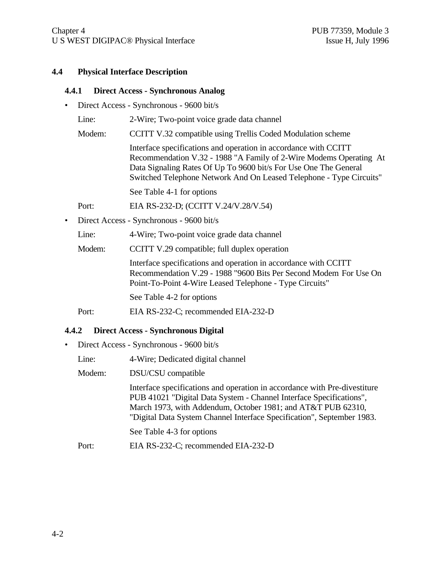#### **4.4 Physical Interface Description**

#### **4.4.1 Direct Access - Synchronous Analog**

- Direct Access Synchronous 9600 bit/s
	- Line: 2-Wire; Two-point voice grade data channel
	- Modem: CCITT V.32 compatible using Trellis Coded Modulation scheme

Interface specifications and operation in accordance with CCITT Recommendation V.32 - 1988 "A Family of 2-Wire Modems Operating At Data Signaling Rates Of Up To 9600 bit/s For Use One The General Switched Telephone Network And On Leased Telephone - Type Circuits"

See Table 4-1 for options

Port: EIA RS-232-D; (CCITT V.24/V.28/V.54)

• Direct Access - Synchronous - 9600 bit/s

Line: 4-Wire; Two-point voice grade data channel

Modem: CCITT V.29 compatible; full duplex operation

Interface specifications and operation in accordance with CCITT Recommendation V.29 - 1988 "9600 Bits Per Second Modem For Use On Point-To-Point 4-Wire Leased Telephone - Type Circuits"

See Table 4-2 for options

Port: EIA RS-232-C; recommended EIA-232-D

#### **4.4.2 Direct Access - Synchronous Digital**

- Direct Access Synchronous 9600 bit/s
	- Line: 4-Wire; Dedicated digital channel
	- Modem: DSU/CSU compatible

Interface specifications and operation in accordance with Pre-divestiture PUB 41021 "Digital Data System - Channel Interface Specifications", March 1973, with Addendum, October 1981; and AT&T PUB 62310, "Digital Data System Channel Interface Specification", September 1983.

See Table 4-3 for options

Port: EIA RS-232-C; recommended EIA-232-D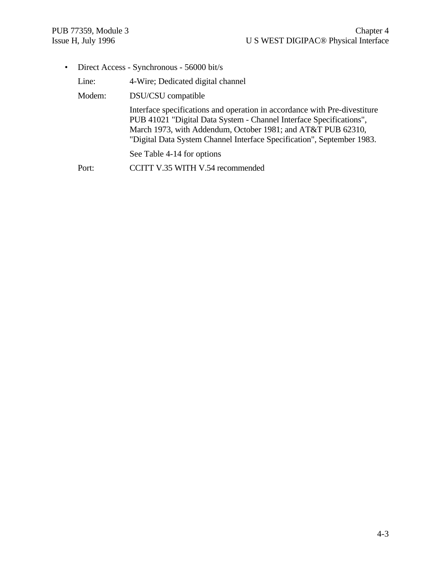• Direct Access - Synchronous - 56000 bit/s

| Line:  | 4-Wire; Dedicated digital channel                                                                                                                                                                                                                                                          |
|--------|--------------------------------------------------------------------------------------------------------------------------------------------------------------------------------------------------------------------------------------------------------------------------------------------|
| Modem: | DSU/CSU compatible                                                                                                                                                                                                                                                                         |
|        | Interface specifications and operation in accordance with Pre-divestiture<br>PUB 41021 "Digital Data System - Channel Interface Specifications",<br>March 1973, with Addendum, October 1981; and AT&T PUB 62310,<br>"Digital Data System Channel Interface Specification", September 1983. |
|        | See Table 4-14 for options                                                                                                                                                                                                                                                                 |
| Port:  | CCITT V.35 WITH V.54 recommended                                                                                                                                                                                                                                                           |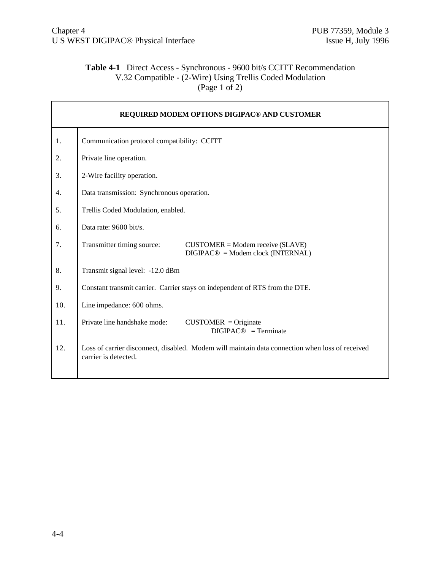# **Table 4-1** Direct Access - Synchronous - 9600 bit/s CCITT Recommendation V.32 Compatible - (2-Wire) Using Trellis Coded Modulation (Page 1 of 2)

| REQUIRED MODEM OPTIONS DIGIPAC® AND CUSTOMER |                                                                                                                         |  |  |  |  |  |
|----------------------------------------------|-------------------------------------------------------------------------------------------------------------------------|--|--|--|--|--|
| 1.                                           | Communication protocol compatibility: CCITT                                                                             |  |  |  |  |  |
| 2.                                           | Private line operation.                                                                                                 |  |  |  |  |  |
| 3.                                           | 2-Wire facility operation.                                                                                              |  |  |  |  |  |
| 4.                                           | Data transmission: Synchronous operation.                                                                               |  |  |  |  |  |
| 5.                                           | Trellis Coded Modulation, enabled.                                                                                      |  |  |  |  |  |
| 6.                                           | Data rate: $9600 \frac{bit}{s}$ .                                                                                       |  |  |  |  |  |
| 7.                                           | Transmitter timing source:<br>$CUSTOMER = Modem receive (SLAVE)$<br>$DIGIPAC@ = Modem clock (INTERNAL)$                 |  |  |  |  |  |
| 8.                                           | Transmit signal level: -12.0 dBm                                                                                        |  |  |  |  |  |
| 9.                                           | Constant transmit carrier. Carrier stays on independent of RTS from the DTE.                                            |  |  |  |  |  |
| 10.                                          | Line impedance: 600 ohms.                                                                                               |  |  |  |  |  |
| 11.                                          | Private line handshake mode:<br>$CUSTOMER = Originate$<br>$DIGIPAC@ = Terminate$                                        |  |  |  |  |  |
| 12.                                          | Loss of carrier disconnect, disabled. Modem will maintain data connection when loss of received<br>carrier is detected. |  |  |  |  |  |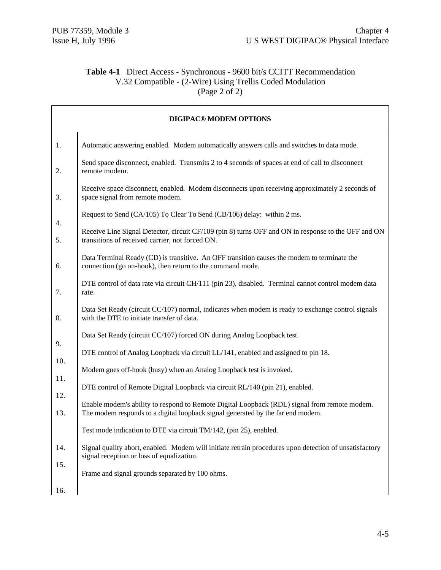# **Table 4-1** Direct Access - Synchronous - 9600 bit/s CCITT Recommendation V.32 Compatible - (2-Wire) Using Trellis Coded Modulation (Page 2 of 2)

| <b>DIGIPAC® MODEM OPTIONS</b> |                                                                                                                                                                                 |  |  |  |  |  |
|-------------------------------|---------------------------------------------------------------------------------------------------------------------------------------------------------------------------------|--|--|--|--|--|
| 1.                            | Automatic answering enabled. Modem automatically answers calls and switches to data mode.                                                                                       |  |  |  |  |  |
| 2.                            | Send space disconnect, enabled. Transmits 2 to 4 seconds of spaces at end of call to disconnect<br>remote modem.                                                                |  |  |  |  |  |
| 3.                            | Receive space disconnect, enabled. Modem disconnects upon receiving approximately 2 seconds of<br>space signal from remote modem.                                               |  |  |  |  |  |
| 4.                            | Request to Send (CA/105) To Clear To Send (CB/106) delay: within 2 ms.                                                                                                          |  |  |  |  |  |
| 5.                            | Receive Line Signal Detector, circuit CF/109 (pin 8) turns OFF and ON in response to the OFF and ON<br>transitions of received carrier, not forced ON.                          |  |  |  |  |  |
| 6.                            | Data Terminal Ready (CD) is transitive. An OFF transition causes the modem to terminate the<br>connection (go on-hook), then return to the command mode.                        |  |  |  |  |  |
| 7.                            | DTE control of data rate via circuit CH/111 (pin 23), disabled. Terminal cannot control modem data<br>rate.                                                                     |  |  |  |  |  |
| 8.                            | Data Set Ready (circuit CC/107) normal, indicates when modem is ready to exchange control signals<br>with the DTE to initiate transfer of data.                                 |  |  |  |  |  |
| 9.                            | Data Set Ready (circuit CC/107) forced ON during Analog Loopback test.                                                                                                          |  |  |  |  |  |
| 10.                           | DTE control of Analog Loopback via circuit LL/141, enabled and assigned to pin 18.                                                                                              |  |  |  |  |  |
|                               | Modem goes off-hook (busy) when an Analog Loopback test is invoked.                                                                                                             |  |  |  |  |  |
| 11.                           | DTE control of Remote Digital Loopback via circuit RL/140 (pin 21), enabled.                                                                                                    |  |  |  |  |  |
| 12.<br>13.                    | Enable modem's ability to respond to Remote Digital Loopback (RDL) signal from remote modem.<br>The modem responds to a digital loopback signal generated by the far end modem. |  |  |  |  |  |
|                               | Test mode indication to DTE via circuit TM/142, (pin 25), enabled.                                                                                                              |  |  |  |  |  |
| 14.                           | Signal quality abort, enabled. Modem will initiate retrain procedures upon detection of unsatisfactory<br>signal reception or loss of equalization.                             |  |  |  |  |  |
| 15.<br>16.                    | Frame and signal grounds separated by 100 ohms.                                                                                                                                 |  |  |  |  |  |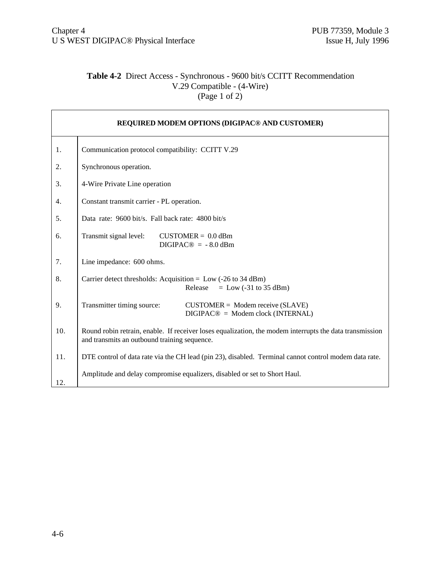# **Table 4-2** Direct Access - Synchronous - 9600 bit/s CCITT Recommendation V.29 Compatible - (4-Wire)  $(\text{Page 1 of 2})$

| REQUIRED MODEM OPTIONS (DIGIPAC® AND CUSTOMER) |                                                                                                                                                         |  |  |  |  |  |
|------------------------------------------------|---------------------------------------------------------------------------------------------------------------------------------------------------------|--|--|--|--|--|
| 1.                                             | Communication protocol compatibility: CCITT V.29                                                                                                        |  |  |  |  |  |
| 2.                                             | Synchronous operation.                                                                                                                                  |  |  |  |  |  |
| 3.                                             | 4-Wire Private Line operation                                                                                                                           |  |  |  |  |  |
| 4.                                             | Constant transmit carrier - PL operation.                                                                                                               |  |  |  |  |  |
| 5.                                             | Data rate: 9600 bit/s. Fall back rate: 4800 bit/s                                                                                                       |  |  |  |  |  |
| 6.                                             | Transmit signal level:<br>$CUSTOMER = 0.0$ dBm<br>$DIGIPAC@ = -8.0$ dBm                                                                                 |  |  |  |  |  |
| 7.                                             | Line impedance: 600 ohms.                                                                                                                               |  |  |  |  |  |
| 8.                                             | Carrier detect thresholds: Acquisition = $Low$ (-26 to 34 dBm)<br>Release<br>$=$ Low (-31 to 35 dBm)                                                    |  |  |  |  |  |
| 9.                                             | Transmitter timing source:<br>$CUSTOMER = Modem receive (SLAVE)$<br>$DIGIPAC@ = Modem clock (INTERNAL)$                                                 |  |  |  |  |  |
| 10.                                            | Round robin retrain, enable. If receiver loses equalization, the modem interrupts the data transmission<br>and transmits an outbound training sequence. |  |  |  |  |  |
| 11.                                            | DTE control of data rate via the CH lead (pin 23), disabled. Terminal cannot control modem data rate.                                                   |  |  |  |  |  |
| 12.                                            | Amplitude and delay compromise equalizers, disabled or set to Short Haul.                                                                               |  |  |  |  |  |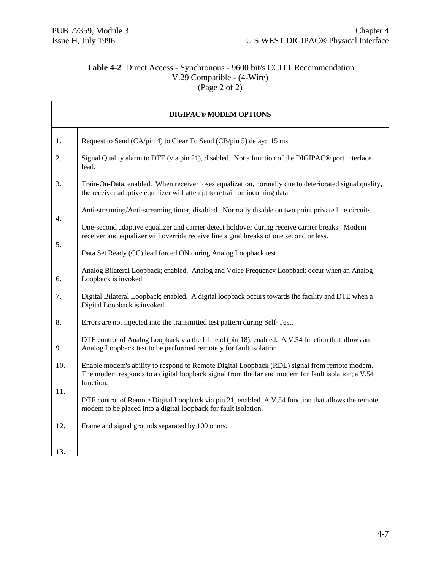# **Table 4-2** Direct Access - Synchronous - 9600 bit/s CCITT Recommendation V.29 Compatible - (4-Wire) (Page 2 of 2)

|     | <b>DIGIPAC® MODEM OPTIONS</b>                                                                                                                                                                                   |
|-----|-----------------------------------------------------------------------------------------------------------------------------------------------------------------------------------------------------------------|
| 1.  | Request to Send (CA/pin 4) to Clear To Send (CB/pin 5) delay: 15 ms.                                                                                                                                            |
| 2.  | Signal Quality alarm to DTE (via pin 21), disabled. Not a function of the DIGIPAC <sup>®</sup> port interface<br>lead.                                                                                          |
| 3.  | Train-On-Data. enabled. When receiver loses equalization, normally due to deteriorated signal quality,<br>the receiver adaptive equalizer will attempt to retrain on incoming data.                             |
| 4.  | Anti-streaming/Anti-streaming timer, disabled. Normally disable on two point private line circuits.                                                                                                             |
| 5.  | One-second adaptive equalizer and carrier detect holdover during receive carrier breaks. Modem<br>receiver and equalizer will override receive line signal breaks of one second or less.                        |
|     | Data Set Ready (CC) lead forced ON during Analog Loopback test.                                                                                                                                                 |
| 6.  | Analog Bilateral Loopback; enabled. Analog and Voice Frequency Loopback occur when an Analog<br>Loopback is invoked.                                                                                            |
| 7.  | Digital Bilateral Loopback; enabled. A digital loopback occurs towards the facility and DTE when a<br>Digital Loopback is invoked.                                                                              |
| 8.  | Errors are not injected into the transmitted test pattern during Self-Test.                                                                                                                                     |
| 9.  | DTE control of Analog Loopback via the LL lead (pin 18), enabled. A V.54 function that allows an<br>Analog Loopback test to be performed remotely for fault isolation.                                          |
| 10. | Enable modem's ability to respond to Remote Digital Loopback (RDL) signal from remote modem.<br>The modem responds to a digital loopback signal from the far end modem for fault isolation; a V.54<br>function. |
| 11. | DTE control of Remote Digital Loopback via pin 21, enabled. A V.54 function that allows the remote<br>modem to be placed into a digital loopback for fault isolation.                                           |
| 12. | Frame and signal grounds separated by 100 ohms.                                                                                                                                                                 |
| 13. |                                                                                                                                                                                                                 |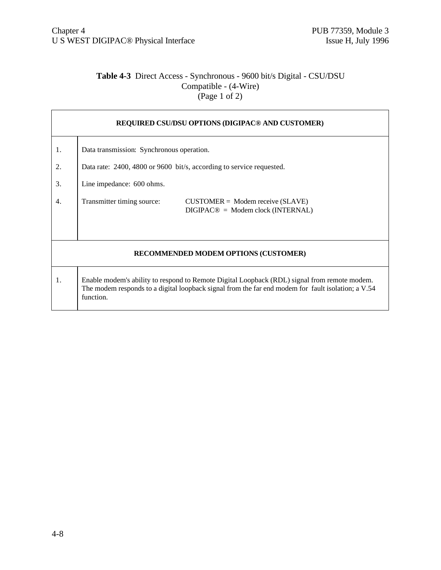# **Table 4-3** Direct Access - Synchronous - 9600 bit/s Digital - CSU/DSU Compatible - (4-Wire)  $\frac{1}{2}$  (Page 1 of 2)

| REQUIRED CSU/DSU OPTIONS (DIGIPAC® AND CUSTOMER) |                                                                                                                                                                                                                 |  |  |  |  |  |
|--------------------------------------------------|-----------------------------------------------------------------------------------------------------------------------------------------------------------------------------------------------------------------|--|--|--|--|--|
| 1.                                               | Data transmission: Synchronous operation.                                                                                                                                                                       |  |  |  |  |  |
| 2.                                               | Data rate: 2400, 4800 or 9600 bit/s, according to service requested.                                                                                                                                            |  |  |  |  |  |
| 3.                                               | Line impedance: 600 ohms.                                                                                                                                                                                       |  |  |  |  |  |
| 4.                                               | Transmitter timing source:<br>$CUSTOMER = Modem receive (SLAVE)$<br>$DIGIPAC@ = Modem clock (INTERNAL)$                                                                                                         |  |  |  |  |  |
| RECOMMENDED MODEM OPTIONS (CUSTOMER)             |                                                                                                                                                                                                                 |  |  |  |  |  |
| 1.                                               | Enable modem's ability to respond to Remote Digital Loopback (RDL) signal from remote modem.<br>The modem responds to a digital loopback signal from the far end modem for fault isolation; a V.54<br>function. |  |  |  |  |  |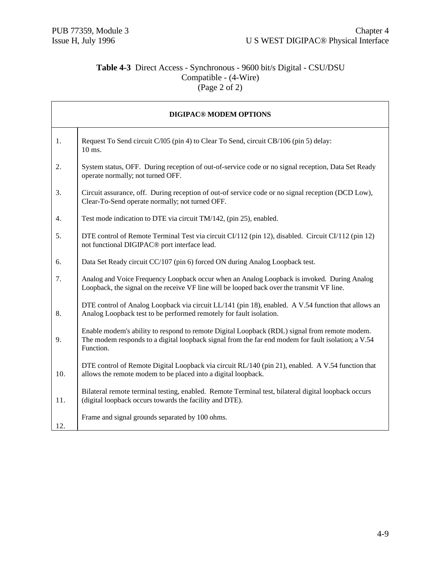# **Table 4-3** Direct Access - Synchronous - 9600 bit/s Digital - CSU/DSU Compatible - (4-Wire)  $(Page 2 of 2)$

| <b>DIGIPAC® MODEM OPTIONS</b> |                                                                                                                                                                                                                 |  |  |  |  |
|-------------------------------|-----------------------------------------------------------------------------------------------------------------------------------------------------------------------------------------------------------------|--|--|--|--|
| 1.                            | Request To Send circuit C/l05 (pin 4) to Clear To Send, circuit CB/106 (pin 5) delay:<br>10 ms.                                                                                                                 |  |  |  |  |
| 2.                            | System status, OFF. During reception of out-of-service code or no signal reception, Data Set Ready<br>operate normally; not turned OFF.                                                                         |  |  |  |  |
| 3.                            | Circuit assurance, off. During reception of out-of service code or no signal reception (DCD Low),<br>Clear-To-Send operate normally; not turned OFF.                                                            |  |  |  |  |
| 4.                            | Test mode indication to DTE via circuit TM/142, (pin 25), enabled.                                                                                                                                              |  |  |  |  |
| 5.                            | DTE control of Remote Terminal Test via circuit CI/112 (pin 12), disabled. Circuit CI/112 (pin 12)<br>not functional DIGIPAC <sup>®</sup> port interface lead.                                                  |  |  |  |  |
| 6.                            | Data Set Ready circuit CC/107 (pin 6) forced ON during Analog Loopback test.                                                                                                                                    |  |  |  |  |
| 7.                            | Analog and Voice Frequency Loopback occur when an Analog Loopback is invoked. During Analog<br>Loopback, the signal on the receive VF line will be looped back over the transmit VF line.                       |  |  |  |  |
| 8.                            | DTE control of Analog Loopback via circuit LL/141 (pin 18), enabled. A V.54 function that allows an<br>Analog Loopback test to be performed remotely for fault isolation.                                       |  |  |  |  |
| 9.                            | Enable modem's ability to respond to remote Digital Loopback (RDL) signal from remote modem.<br>The modem responds to a digital loopback signal from the far end modem for fault isolation; a V.54<br>Function. |  |  |  |  |
| 10.                           | DTE control of Remote Digital Loopback via circuit RL/140 (pin 21), enabled. A V.54 function that<br>allows the remote modem to be placed into a digital loopback.                                              |  |  |  |  |
| 11.                           | Bilateral remote terminal testing, enabled. Remote Terminal test, bilateral digital loopback occurs<br>(digital loopback occurs towards the facility and DTE).                                                  |  |  |  |  |
| 12.                           | Frame and signal grounds separated by 100 ohms.                                                                                                                                                                 |  |  |  |  |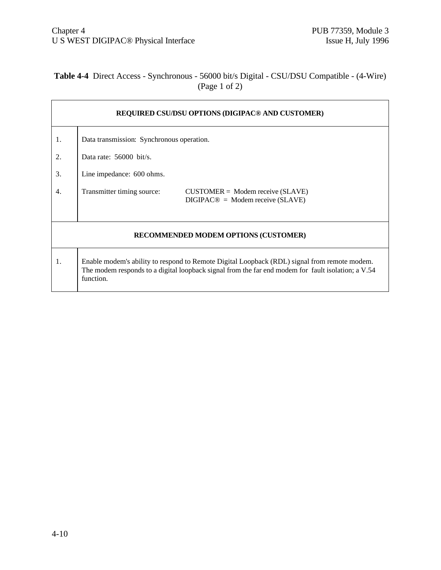# **Table 4-4** Direct Access - Synchronous - 56000 bit/s Digital - CSU/DSU Compatible - (4-Wire) (Page 1 of 2)

| REQUIRED CSU/DSU OPTIONS (DIGIPAC <sup>®</sup> AND CUSTOMER) |                                                                                                                                                                                                                 |  |  |  |  |  |  |
|--------------------------------------------------------------|-----------------------------------------------------------------------------------------------------------------------------------------------------------------------------------------------------------------|--|--|--|--|--|--|
| 1.                                                           | Data transmission: Synchronous operation.                                                                                                                                                                       |  |  |  |  |  |  |
| 2.                                                           | Data rate: $56000$ bit/s.                                                                                                                                                                                       |  |  |  |  |  |  |
| 3.                                                           | Line impedance: 600 ohms.                                                                                                                                                                                       |  |  |  |  |  |  |
| 4.                                                           | Transmitter timing source:<br>$CUSTOMER = Modem receive (SLAVE)$<br>$DIGIPAC@ = Modem receive (SLAVE)$                                                                                                          |  |  |  |  |  |  |
| RECOMMENDED MODEM OPTIONS (CUSTOMER)                         |                                                                                                                                                                                                                 |  |  |  |  |  |  |
| 1.                                                           | Enable modem's ability to respond to Remote Digital Loopback (RDL) signal from remote modem.<br>The modem responds to a digital loopback signal from the far end modem for fault isolation; a V.54<br>function. |  |  |  |  |  |  |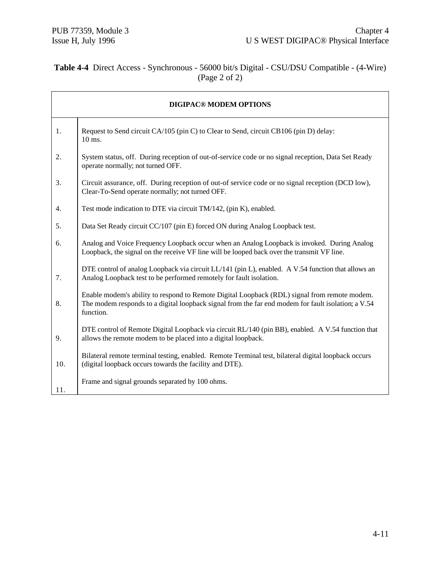# **Table 4-4** Direct Access - Synchronous - 56000 bit/s Digital - CSU/DSU Compatible - (4-Wire) (Page 2 of 2)

| <b>DIGIPAC® MODEM OPTIONS</b> |                                                                                                                                                                                                                 |  |  |  |  |
|-------------------------------|-----------------------------------------------------------------------------------------------------------------------------------------------------------------------------------------------------------------|--|--|--|--|
| 1.                            | Request to Send circuit CA/105 (pin C) to Clear to Send, circuit CB106 (pin D) delay:<br>$10 \text{ ms}$ .                                                                                                      |  |  |  |  |
| 2.                            | System status, off. During reception of out-of-service code or no signal reception, Data Set Ready<br>operate normally; not turned OFF.                                                                         |  |  |  |  |
| 3.                            | Circuit assurance, off. During reception of out-of service code or no signal reception (DCD low),<br>Clear-To-Send operate normally; not turned OFF.                                                            |  |  |  |  |
| 4.                            | Test mode indication to DTE via circuit TM/142, (pin K), enabled.                                                                                                                                               |  |  |  |  |
| 5.                            | Data Set Ready circuit CC/107 (pin E) forced ON during Analog Loopback test.                                                                                                                                    |  |  |  |  |
| 6.                            | Analog and Voice Frequency Loopback occur when an Analog Loopback is invoked. During Analog<br>Loopback, the signal on the receive VF line will be looped back over the transmit VF line.                       |  |  |  |  |
| 7.                            | DTE control of analog Loopback via circuit LL/141 (pin L), enabled. A V.54 function that allows an<br>Analog Loopback test to be performed remotely for fault isolation.                                        |  |  |  |  |
| 8.                            | Enable modem's ability to respond to Remote Digital Loopback (RDL) signal from remote modem.<br>The modem responds to a digital loopback signal from the far end modem for fault isolation; a V.54<br>function. |  |  |  |  |
| 9.                            | DTE control of Remote Digital Loopback via circuit RL/140 (pin BB), enabled. A V.54 function that<br>allows the remote modem to be placed into a digital loopback.                                              |  |  |  |  |
| 10.                           | Bilateral remote terminal testing, enabled. Remote Terminal test, bilateral digital loopback occurs<br>(digital loopback occurs towards the facility and DTE).                                                  |  |  |  |  |
| 11.                           | Frame and signal grounds separated by 100 ohms.                                                                                                                                                                 |  |  |  |  |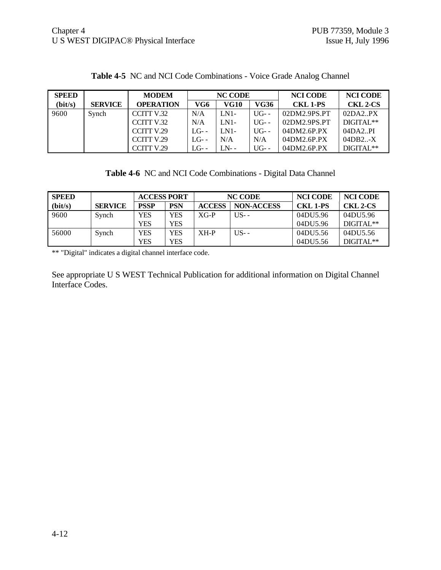| <b>SPEED</b> |                | <b>MODEM</b>     |         | <b>NC CODE</b> |         | <b>NCI CODE</b> | <b>NCI CODE</b> |
|--------------|----------------|------------------|---------|----------------|---------|-----------------|-----------------|
| (bit/s)      | <b>SERVICE</b> | <b>OPERATION</b> | VG6     | VG10           | VG36    | <b>CKL 1-PS</b> | <b>CKL 2-CS</b> |
| 9600         | Synch          | CCITT V.32       | N/A     | $LN1-$         | $UG$ -- | 02DM2.9PS.PT    | 02DA2.PX        |
|              |                | CCITT V.32       | N/A     | $LN1-$         | $UG-$   | 02DM2.9PS.PT    | $DIGITAL**$     |
|              |                | CCITT V.29       | $LG$ -- | $LN1-$         | $UG-$   | 04DM2.6P.PX     | 04DA2.PI        |
|              |                | CCITT V.29       | $LG$ -- | N/A            | N/A     | 04DM2.6P.PX     | 04DB2X          |
|              |                | CCITT V.29       | $LG$ -- | $LN-$          | $UG-$   | 04DM2.6P.PX     | DIGITAL**       |

**Table 4-5** NC and NCI Code Combinations - Voice Grade Analog Channel

|  | Table 4-6 NC and NCI Code Combinations - Digital Data Channel |  |
|--|---------------------------------------------------------------|--|
|  |                                                               |  |

| <b>SPEED</b> |                | <b>ACCESS PORT</b> |     | <b>NC CODE</b> |                   | <b>NCI CODE</b> | <b>NCI CODE</b> |
|--------------|----------------|--------------------|-----|----------------|-------------------|-----------------|-----------------|
| (bit/s)      | <b>SERVICE</b> | <b>PSSP</b>        | PSN | <b>ACCESS</b>  | <b>NON-ACCESS</b> | <b>CKL 1-PS</b> | <b>CKL 2-CS</b> |
| 9600         | Synch          | <b>YES</b>         | YES | $XG-P$         | $US-$             | 04DU5.96        | 04DU5.96        |
|              |                | <b>YES</b>         | YES |                |                   | 04DU5.96        | $DIGITAI.**$    |
| 56000        | Synch          | <b>YES</b>         | YES | $XH-P$         | $US -$            | 04DU5.56        | 04DU5.56        |
|              |                | <b>YES</b>         | YES |                |                   | 04DU5.56        | DIGITAL**       |

\*\* "Digital" indicates a digital channel interface code.

See appropriate U S WEST Technical Publication for additional information on Digital Channel Interface Codes.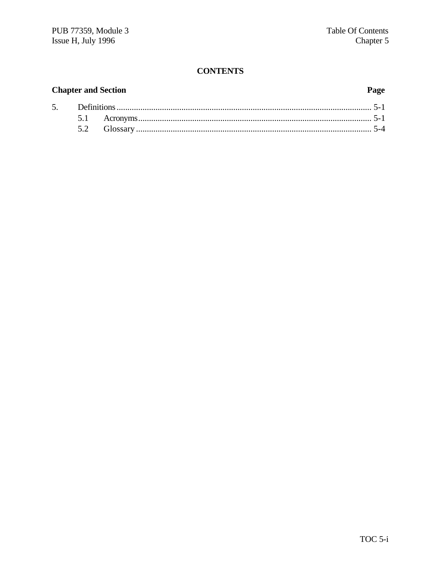# **CONTENTS**

# **Chapter and Section**

# Page

| 5. |  |  |  |  |  |
|----|--|--|--|--|--|
|    |  |  |  |  |  |
|    |  |  |  |  |  |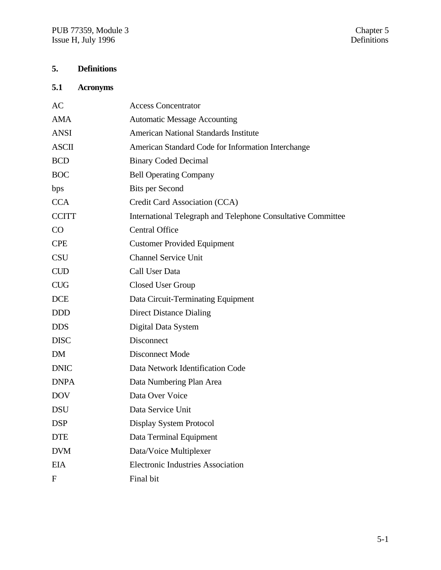# **5. Definitions**

# **5.1 Acronyms**

| AC           | <b>Access Concentrator</b>                                   |
|--------------|--------------------------------------------------------------|
| <b>AMA</b>   | <b>Automatic Message Accounting</b>                          |
| <b>ANSI</b>  | <b>American National Standards Institute</b>                 |
| <b>ASCII</b> | American Standard Code for Information Interchange           |
| <b>BCD</b>   | <b>Binary Coded Decimal</b>                                  |
| <b>BOC</b>   | <b>Bell Operating Company</b>                                |
| bps          | <b>Bits per Second</b>                                       |
| <b>CCA</b>   | Credit Card Association (CCA)                                |
| <b>CCITT</b> | International Telegraph and Telephone Consultative Committee |
| CO           | <b>Central Office</b>                                        |
| <b>CPE</b>   | <b>Customer Provided Equipment</b>                           |
| <b>CSU</b>   | <b>Channel Service Unit</b>                                  |
| <b>CUD</b>   | Call User Data                                               |
| <b>CUG</b>   | <b>Closed User Group</b>                                     |
| <b>DCE</b>   | Data Circuit-Terminating Equipment                           |
| <b>DDD</b>   | <b>Direct Distance Dialing</b>                               |
| <b>DDS</b>   | Digital Data System                                          |
| <b>DISC</b>  | Disconnect                                                   |
| <b>DM</b>    | <b>Disconnect Mode</b>                                       |
| <b>DNIC</b>  | Data Network Identification Code                             |
| <b>DNPA</b>  | Data Numbering Plan Area                                     |
| <b>DOV</b>   | Data Over Voice                                              |
| <b>DSU</b>   | Data Service Unit                                            |
| <b>DSP</b>   | Display System Protocol                                      |
| <b>DTE</b>   | Data Terminal Equipment                                      |
| <b>DVM</b>   | Data/Voice Multiplexer                                       |
| <b>EIA</b>   | <b>Electronic Industries Association</b>                     |
| $\mathbf{F}$ | Final bit                                                    |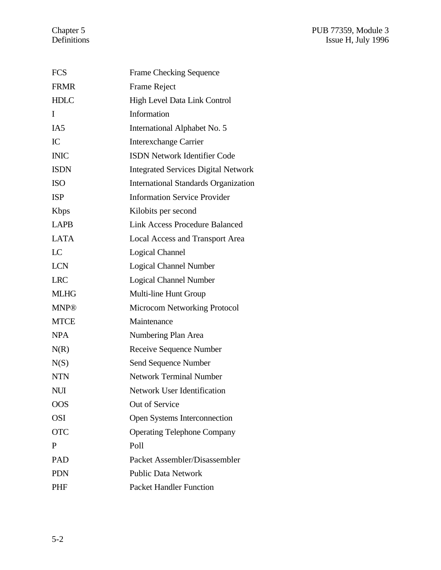| <b>FCS</b>      | <b>Frame Checking Sequence</b>              |
|-----------------|---------------------------------------------|
| <b>FRMR</b>     | <b>Frame Reject</b>                         |
| <b>HDLC</b>     | High Level Data Link Control                |
| I               | Information                                 |
| IA <sub>5</sub> | International Alphabet No. 5                |
| IC              | <b>Interexchange Carrier</b>                |
| <b>INIC</b>     | <b>ISDN Network Identifier Code</b>         |
| <b>ISDN</b>     | <b>Integrated Services Digital Network</b>  |
| <b>ISO</b>      | <b>International Standards Organization</b> |
| <b>ISP</b>      | <b>Information Service Provider</b>         |
| <b>K</b> bps    | Kilobits per second                         |
| <b>LAPB</b>     | <b>Link Access Procedure Balanced</b>       |
| <b>LATA</b>     | <b>Local Access and Transport Area</b>      |
| LC              | <b>Logical Channel</b>                      |
| <b>LCN</b>      | <b>Logical Channel Number</b>               |
| <b>LRC</b>      | <b>Logical Channel Number</b>               |
| <b>MLHG</b>     | Multi-line Hunt Group                       |
| <b>MNP®</b>     | <b>Microcom Networking Protocol</b>         |
| <b>MTCE</b>     | Maintenance                                 |
| <b>NPA</b>      | Numbering Plan Area                         |
| N(R)            | Receive Sequence Number                     |
| N(S)            | Send Sequence Number                        |
| <b>NTN</b>      | <b>Network Terminal Number</b>              |
| NUI             | Network User Identification                 |
| <b>OOS</b>      | Out of Service                              |
| <b>OSI</b>      | Open Systems Interconnection                |
| <b>OTC</b>      | <b>Operating Telephone Company</b>          |
| P               | Poll                                        |
| PAD             | Packet Assembler/Disassembler               |
| <b>PDN</b>      | <b>Public Data Network</b>                  |
| <b>PHF</b>      | <b>Packet Handler Function</b>              |
|                 |                                             |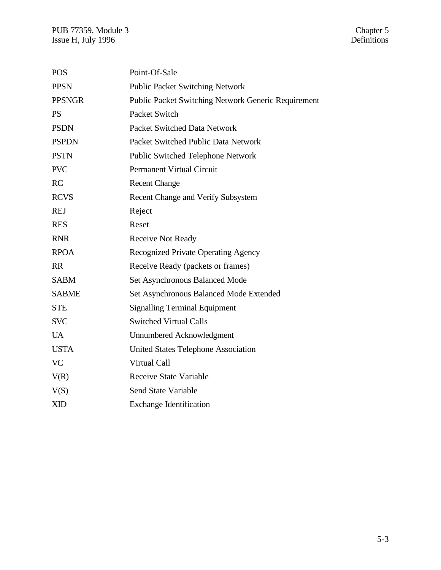| <b>POS</b>    | Point-Of-Sale                                              |
|---------------|------------------------------------------------------------|
| <b>PPSN</b>   | <b>Public Packet Switching Network</b>                     |
| <b>PPSNGR</b> | <b>Public Packet Switching Network Generic Requirement</b> |
| <b>PS</b>     | Packet Switch                                              |
| <b>PSDN</b>   | <b>Packet Switched Data Network</b>                        |
| <b>PSPDN</b>  | Packet Switched Public Data Network                        |
| <b>PSTN</b>   | Public Switched Telephone Network                          |
| <b>PVC</b>    | <b>Permanent Virtual Circuit</b>                           |
| RC            | <b>Recent Change</b>                                       |
| <b>RCVS</b>   | Recent Change and Verify Subsystem                         |
| <b>REJ</b>    | Reject                                                     |
| <b>RES</b>    | Reset                                                      |
| <b>RNR</b>    | <b>Receive Not Ready</b>                                   |
| <b>RPOA</b>   | Recognized Private Operating Agency                        |
| <b>RR</b>     | Receive Ready (packets or frames)                          |
| <b>SABM</b>   | Set Asynchronous Balanced Mode                             |
| <b>SABME</b>  | Set Asynchronous Balanced Mode Extended                    |
| <b>STE</b>    | <b>Signalling Terminal Equipment</b>                       |
| <b>SVC</b>    | <b>Switched Virtual Calls</b>                              |
| <b>UA</b>     | Unnumbered Acknowledgment                                  |
| <b>USTA</b>   | <b>United States Telephone Association</b>                 |
| <b>VC</b>     | Virtual Call                                               |
| V(R)          | <b>Receive State Variable</b>                              |
| V(S)          | <b>Send State Variable</b>                                 |
| <b>XID</b>    | <b>Exchange Identification</b>                             |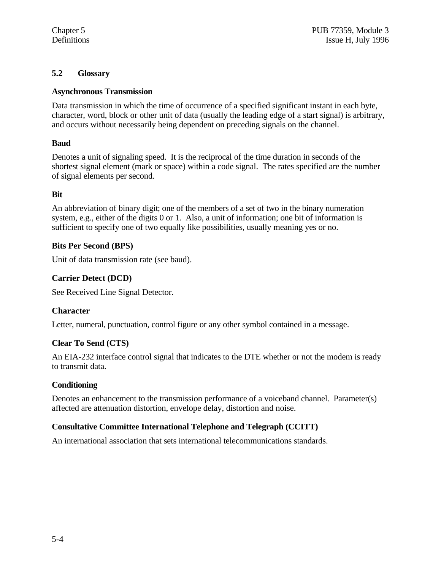# **5.2 Glossary**

### **Asynchronous Transmission**

Data transmission in which the time of occurrence of a specified significant instant in each byte, character, word, block or other unit of data (usually the leading edge of a start signal) is arbitrary, and occurs without necessarily being dependent on preceding signals on the channel.

# **Baud**

Denotes a unit of signaling speed. It is the reciprocal of the time duration in seconds of the shortest signal element (mark or space) within a code signal. The rates specified are the number of signal elements per second.

# **Bit**

An abbreviation of binary digit; one of the members of a set of two in the binary numeration system, e.g., either of the digits 0 or 1. Also, a unit of information; one bit of information is sufficient to specify one of two equally like possibilities, usually meaning yes or no.

# **Bits Per Second (BPS)**

Unit of data transmission rate (see baud).

# **Carrier Detect (DCD)**

See Received Line Signal Detector.

# **Character**

Letter, numeral, punctuation, control figure or any other symbol contained in a message.

# **Clear To Send (CTS)**

An EIA-232 interface control signal that indicates to the DTE whether or not the modem is ready to transmit data.

# **Conditioning**

Denotes an enhancement to the transmission performance of a voiceband channel. Parameter(s) affected are attenuation distortion, envelope delay, distortion and noise.

# **Consultative Committee International Telephone and Telegraph (CCITT)**

An international association that sets international telecommunications standards.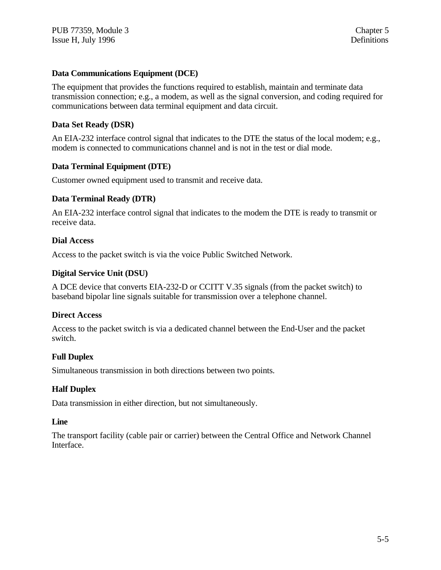### **Data Communications Equipment (DCE)**

The equipment that provides the functions required to establish, maintain and terminate data transmission connection; e.g., a modem, as well as the signal conversion, and coding required for communications between data terminal equipment and data circuit.

#### **Data Set Ready (DSR)**

An EIA-232 interface control signal that indicates to the DTE the status of the local modem; e.g., modem is connected to communications channel and is not in the test or dial mode.

#### **Data Terminal Equipment (DTE)**

Customer owned equipment used to transmit and receive data.

#### **Data Terminal Ready (DTR)**

An EIA-232 interface control signal that indicates to the modem the DTE is ready to transmit or receive data.

#### **Dial Access**

Access to the packet switch is via the voice Public Switched Network.

#### **Digital Service Unit (DSU)**

A DCE device that converts EIA-232-D or CCITT V.35 signals (from the packet switch) to baseband bipolar line signals suitable for transmission over a telephone channel.

#### **Direct Access**

Access to the packet switch is via a dedicated channel between the End-User and the packet switch.

# **Full Duplex**

Simultaneous transmission in both directions between two points.

#### **Half Duplex**

Data transmission in either direction, but not simultaneously.

#### **Line**

The transport facility (cable pair or carrier) between the Central Office and Network Channel Interface.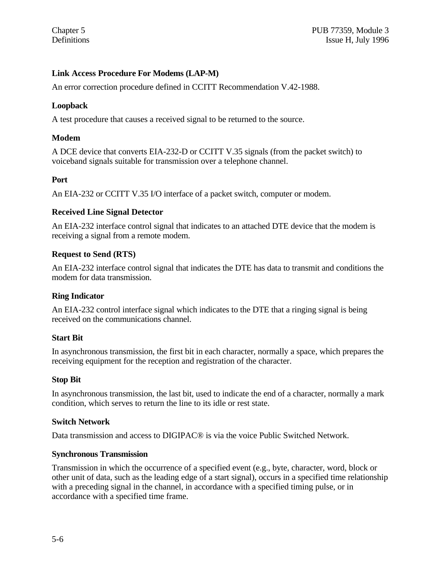# **Link Access Procedure For Modems (LAP-M)**

An error correction procedure defined in CCITT Recommendation V.42-1988.

### **Loopback**

A test procedure that causes a received signal to be returned to the source.

### **Modem**

A DCE device that converts EIA-232-D or CCITT V.35 signals (from the packet switch) to voiceband signals suitable for transmission over a telephone channel.

#### **Port**

An EIA-232 or CCITT V.35 I/O interface of a packet switch, computer or modem.

#### **Received Line Signal Detector**

An EIA-232 interface control signal that indicates to an attached DTE device that the modem is receiving a signal from a remote modem.

#### **Request to Send (RTS)**

An EIA-232 interface control signal that indicates the DTE has data to transmit and conditions the modem for data transmission.

#### **Ring Indicator**

An EIA-232 control interface signal which indicates to the DTE that a ringing signal is being received on the communications channel.

#### **Start Bit**

In asynchronous transmission, the first bit in each character, normally a space, which prepares the receiving equipment for the reception and registration of the character.

#### **Stop Bit**

In asynchronous transmission, the last bit, used to indicate the end of a character, normally a mark condition, which serves to return the line to its idle or rest state.

#### **Switch Network**

Data transmission and access to DIGIPAC® is via the voice Public Switched Network.

#### **Synchronous Transmission**

Transmission in which the occurrence of a specified event (e.g., byte, character, word, block or other unit of data, such as the leading edge of a start signal), occurs in a specified time relationship with a preceding signal in the channel, in accordance with a specified timing pulse, or in accordance with a specified time frame.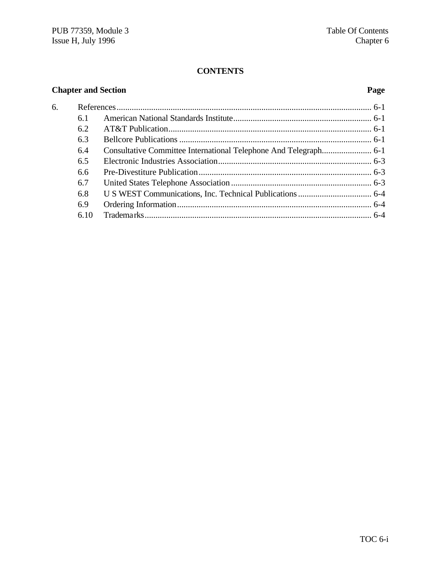# **CONTENTS**

# **Chapter and Section Page**

| 6. |      |  |
|----|------|--|
|    | 6.1  |  |
|    | 6.2  |  |
|    | 6.3  |  |
|    | 6.4  |  |
|    | 6.5  |  |
|    | 6.6  |  |
|    | 6.7  |  |
|    | 6.8  |  |
|    | 6.9  |  |
|    | 6.10 |  |
|    |      |  |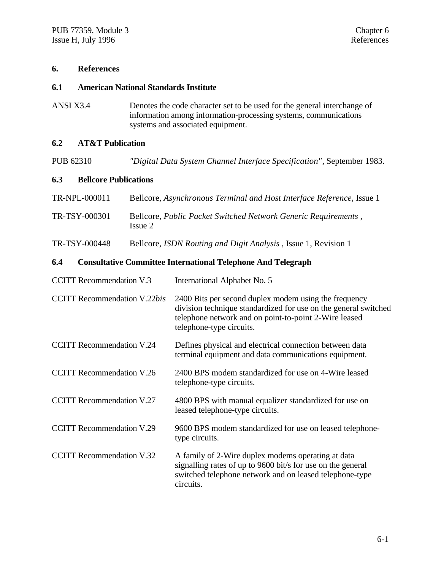#### **6. References**

#### **6.1 American National Standards Institute**

ANSI X3.4 Denotes the code character set to be used for the general interchange of information among information-processing systems, communications systems and associated equipment.

# **6.2 AT&T Publication**

PUB 62310 *"Digital Data System Channel Interface Specification"*, September 1983.

#### **6.3 Bellcore Publications**

| TR-NPL-000011 | Bellcore, Asynchronous Terminal and Host Interface Reference, Issue 1     |
|---------------|---------------------------------------------------------------------------|
| TR-TSY-000301 | Bellcore, Public Packet Switched Network Generic Requirements,<br>Issue 2 |

TR-TSY-000448 Bellcore, *ISDN Routing and Digit Analysis* , Issue 1, Revision 1

# **6.4 Consultative Committee International Telephone And Telegraph**

| <b>CCITT Recommendation V.3</b>     | International Alphabet No. 5                                                                                                                                                                                  |
|-------------------------------------|---------------------------------------------------------------------------------------------------------------------------------------------------------------------------------------------------------------|
| <b>CCITT Recommendation V.22bis</b> | 2400 Bits per second duplex modem using the frequency<br>division technique standardized for use on the general switched<br>telephone network and on point-to-point 2-Wire leased<br>telephone-type circuits. |
| <b>CCITT Recommendation V.24</b>    | Defines physical and electrical connection between data<br>terminal equipment and data communications equipment.                                                                                              |
| <b>CCITT</b> Recommendation V.26    | 2400 BPS modem standardized for use on 4-Wire leased<br>telephone-type circuits.                                                                                                                              |
| <b>CCITT Recommendation V.27</b>    | 4800 BPS with manual equalizer standardized for use on<br>leased telephone-type circuits.                                                                                                                     |
| <b>CCITT Recommendation V.29</b>    | 9600 BPS modem standardized for use on leased telephone-<br>type circuits.                                                                                                                                    |
| <b>CCITT Recommendation V.32</b>    | A family of 2-Wire duplex modems operating at data<br>signalling rates of up to 9600 bit/s for use on the general<br>switched telephone network and on leased telephone-type<br>circuits.                     |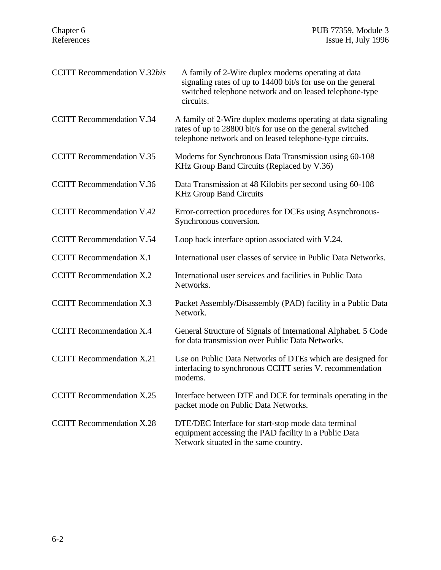| <b>CCITT</b> Recommendation V.32bis | A family of 2-Wire duplex modems operating at data<br>signaling rates of up to 14400 bit/s for use on the general<br>switched telephone network and on leased telephone-type<br>circuits. |
|-------------------------------------|-------------------------------------------------------------------------------------------------------------------------------------------------------------------------------------------|
| <b>CCITT Recommendation V.34</b>    | A family of 2-Wire duplex modems operating at data signaling<br>rates of up to 28800 bit/s for use on the general switched<br>telephone network and on leased telephone-type circuits.    |
| <b>CCITT</b> Recommendation V.35    | Modems for Synchronous Data Transmission using 60-108<br>KHz Group Band Circuits (Replaced by V.36)                                                                                       |
| <b>CCITT</b> Recommendation V.36    | Data Transmission at 48 Kilobits per second using 60-108<br><b>KHz Group Band Circuits</b>                                                                                                |
| <b>CCITT Recommendation V.42</b>    | Error-correction procedures for DCEs using Asynchronous-<br>Synchronous conversion.                                                                                                       |
| <b>CCITT</b> Recommendation V.54    | Loop back interface option associated with V.24.                                                                                                                                          |
| <b>CCITT</b> Recommendation X.1     | International user classes of service in Public Data Networks.                                                                                                                            |
| <b>CCITT</b> Recommendation X.2     | International user services and facilities in Public Data<br>Networks.                                                                                                                    |
| <b>CCITT</b> Recommendation X.3     | Packet Assembly/Disassembly (PAD) facility in a Public Data<br>Network.                                                                                                                   |
| <b>CCITT Recommendation X.4</b>     | General Structure of Signals of International Alphabet. 5 Code<br>for data transmission over Public Data Networks.                                                                        |
| <b>CCITT</b> Recommendation X.21    | Use on Public Data Networks of DTEs which are designed for<br>interfacing to synchronous CCITT series V. recommendation<br>modems.                                                        |
| <b>CCITT</b> Recommendation X.25    | Interface between DTE and DCE for terminals operating in the<br>packet mode on Public Data Networks.                                                                                      |
| <b>CCITT</b> Recommendation X.28    | DTE/DEC Interface for start-stop mode data terminal<br>equipment accessing the PAD facility in a Public Data<br>Network situated in the same country.                                     |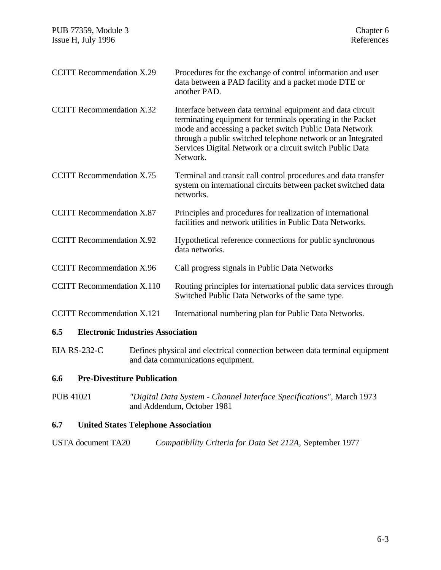| <b>CCITT Recommendation X.29</b>  | Procedures for the exchange of control information and user<br>data between a PAD facility and a packet mode DTE or<br>another PAD.                                                                                                                                                                                         |
|-----------------------------------|-----------------------------------------------------------------------------------------------------------------------------------------------------------------------------------------------------------------------------------------------------------------------------------------------------------------------------|
| <b>CCITT</b> Recommendation X.32  | Interface between data terminal equipment and data circuit<br>terminating equipment for terminals operating in the Packet<br>mode and accessing a packet switch Public Data Network<br>through a public switched telephone network or an Integrated<br>Services Digital Network or a circuit switch Public Data<br>Network. |
| <b>CCITT</b> Recommendation X.75  | Terminal and transit call control procedures and data transfer<br>system on international circuits between packet switched data<br>networks.                                                                                                                                                                                |
| <b>CCITT</b> Recommendation X.87  | Principles and procedures for realization of international<br>facilities and network utilities in Public Data Networks.                                                                                                                                                                                                     |
| <b>CCITT Recommendation X.92</b>  | Hypothetical reference connections for public synchronous<br>data networks.                                                                                                                                                                                                                                                 |
| <b>CCITT Recommendation X.96</b>  | Call progress signals in Public Data Networks                                                                                                                                                                                                                                                                               |
| <b>CCITT</b> Recommendation X.110 | Routing principles for international public data services through<br>Switched Public Data Networks of the same type.                                                                                                                                                                                                        |
| <b>CCITT Recommendation X.121</b> | International numbering plan for Public Data Networks.                                                                                                                                                                                                                                                                      |
|                                   |                                                                                                                                                                                                                                                                                                                             |

# **6.5 Electronic Industries Association**

EIA RS-232-C Defines physical and electrical connection between data terminal equipment and data communications equipment.

# **6.6 Pre-Divestiture Publication**

PUB 41021 *"Digital Data System - Channel Interface Specifications"*, March 1973 and Addendum, October 1981

# **6.7 United States Telephone Association**

| <b>USTA</b> document TA20 | Compatibility Criteria for Data Set 212A, September 1977 |  |
|---------------------------|----------------------------------------------------------|--|
|---------------------------|----------------------------------------------------------|--|